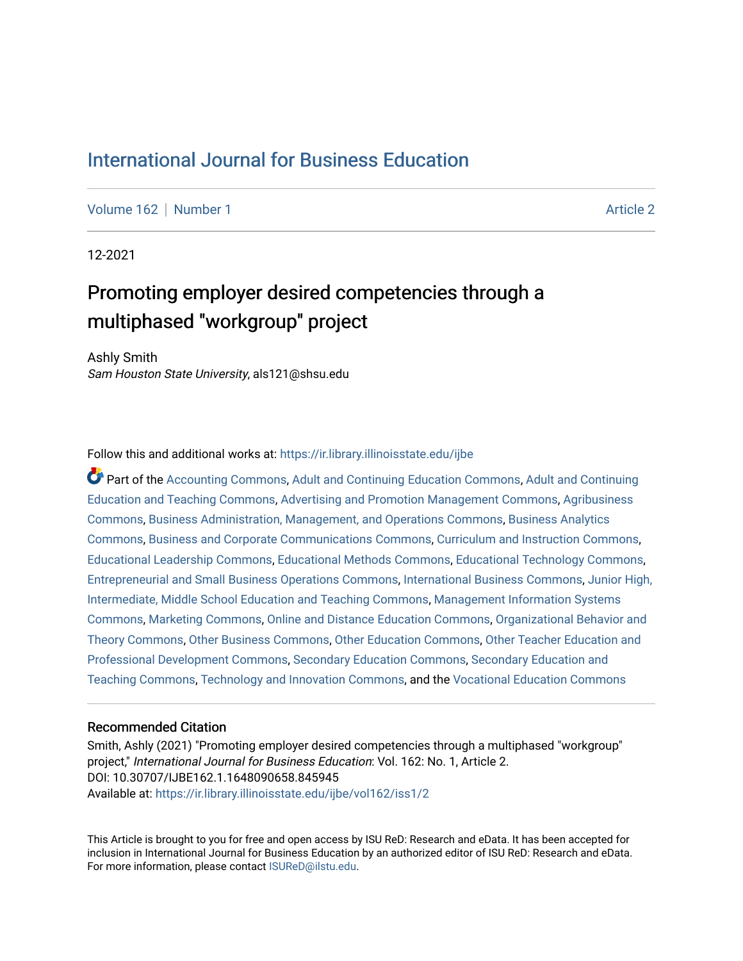# [International Journal for Business Education](https://ir.library.illinoisstate.edu/ijbe)

[Volume 162](https://ir.library.illinoisstate.edu/ijbe/vol162) | [Number 1](https://ir.library.illinoisstate.edu/ijbe/vol162/iss1) Article 2

12-2021

# Promoting employer desired competencies through a multiphased "workgroup" project

Ashly Smith Sam Houston State University, als121@shsu.edu

Follow this and additional works at: [https://ir.library.illinoisstate.edu/ijbe](https://ir.library.illinoisstate.edu/ijbe?utm_source=ir.library.illinoisstate.edu%2Fijbe%2Fvol162%2Fiss1%2F2&utm_medium=PDF&utm_campaign=PDFCoverPages)

Part of the [Accounting Commons](http://network.bepress.com/hgg/discipline/625?utm_source=ir.library.illinoisstate.edu%2Fijbe%2Fvol162%2Fiss1%2F2&utm_medium=PDF&utm_campaign=PDFCoverPages), [Adult and Continuing Education Commons](http://network.bepress.com/hgg/discipline/1375?utm_source=ir.library.illinoisstate.edu%2Fijbe%2Fvol162%2Fiss1%2F2&utm_medium=PDF&utm_campaign=PDFCoverPages), [Adult and Continuing](http://network.bepress.com/hgg/discipline/804?utm_source=ir.library.illinoisstate.edu%2Fijbe%2Fvol162%2Fiss1%2F2&utm_medium=PDF&utm_campaign=PDFCoverPages)  [Education and Teaching Commons,](http://network.bepress.com/hgg/discipline/804?utm_source=ir.library.illinoisstate.edu%2Fijbe%2Fvol162%2Fiss1%2F2&utm_medium=PDF&utm_campaign=PDFCoverPages) [Advertising and Promotion Management Commons,](http://network.bepress.com/hgg/discipline/626?utm_source=ir.library.illinoisstate.edu%2Fijbe%2Fvol162%2Fiss1%2F2&utm_medium=PDF&utm_campaign=PDFCoverPages) [Agribusiness](http://network.bepress.com/hgg/discipline/1051?utm_source=ir.library.illinoisstate.edu%2Fijbe%2Fvol162%2Fiss1%2F2&utm_medium=PDF&utm_campaign=PDFCoverPages) [Commons](http://network.bepress.com/hgg/discipline/1051?utm_source=ir.library.illinoisstate.edu%2Fijbe%2Fvol162%2Fiss1%2F2&utm_medium=PDF&utm_campaign=PDFCoverPages), [Business Administration, Management, and Operations Commons,](http://network.bepress.com/hgg/discipline/623?utm_source=ir.library.illinoisstate.edu%2Fijbe%2Fvol162%2Fiss1%2F2&utm_medium=PDF&utm_campaign=PDFCoverPages) [Business Analytics](http://network.bepress.com/hgg/discipline/1398?utm_source=ir.library.illinoisstate.edu%2Fijbe%2Fvol162%2Fiss1%2F2&utm_medium=PDF&utm_campaign=PDFCoverPages)  [Commons](http://network.bepress.com/hgg/discipline/1398?utm_source=ir.library.illinoisstate.edu%2Fijbe%2Fvol162%2Fiss1%2F2&utm_medium=PDF&utm_campaign=PDFCoverPages), [Business and Corporate Communications Commons,](http://network.bepress.com/hgg/discipline/627?utm_source=ir.library.illinoisstate.edu%2Fijbe%2Fvol162%2Fiss1%2F2&utm_medium=PDF&utm_campaign=PDFCoverPages) [Curriculum and Instruction Commons,](http://network.bepress.com/hgg/discipline/786?utm_source=ir.library.illinoisstate.edu%2Fijbe%2Fvol162%2Fiss1%2F2&utm_medium=PDF&utm_campaign=PDFCoverPages) [Educational Leadership Commons](http://network.bepress.com/hgg/discipline/1230?utm_source=ir.library.illinoisstate.edu%2Fijbe%2Fvol162%2Fiss1%2F2&utm_medium=PDF&utm_campaign=PDFCoverPages), [Educational Methods Commons](http://network.bepress.com/hgg/discipline/1227?utm_source=ir.library.illinoisstate.edu%2Fijbe%2Fvol162%2Fiss1%2F2&utm_medium=PDF&utm_campaign=PDFCoverPages), [Educational Technology Commons](http://network.bepress.com/hgg/discipline/1415?utm_source=ir.library.illinoisstate.edu%2Fijbe%2Fvol162%2Fiss1%2F2&utm_medium=PDF&utm_campaign=PDFCoverPages), [Entrepreneurial and Small Business Operations Commons](http://network.bepress.com/hgg/discipline/630?utm_source=ir.library.illinoisstate.edu%2Fijbe%2Fvol162%2Fiss1%2F2&utm_medium=PDF&utm_campaign=PDFCoverPages), [International Business Commons](http://network.bepress.com/hgg/discipline/634?utm_source=ir.library.illinoisstate.edu%2Fijbe%2Fvol162%2Fiss1%2F2&utm_medium=PDF&utm_campaign=PDFCoverPages), [Junior High,](http://network.bepress.com/hgg/discipline/807?utm_source=ir.library.illinoisstate.edu%2Fijbe%2Fvol162%2Fiss1%2F2&utm_medium=PDF&utm_campaign=PDFCoverPages)  [Intermediate, Middle School Education and Teaching Commons](http://network.bepress.com/hgg/discipline/807?utm_source=ir.library.illinoisstate.edu%2Fijbe%2Fvol162%2Fiss1%2F2&utm_medium=PDF&utm_campaign=PDFCoverPages), [Management Information Systems](http://network.bepress.com/hgg/discipline/636?utm_source=ir.library.illinoisstate.edu%2Fijbe%2Fvol162%2Fiss1%2F2&utm_medium=PDF&utm_campaign=PDFCoverPages)  [Commons](http://network.bepress.com/hgg/discipline/636?utm_source=ir.library.illinoisstate.edu%2Fijbe%2Fvol162%2Fiss1%2F2&utm_medium=PDF&utm_campaign=PDFCoverPages), [Marketing Commons,](http://network.bepress.com/hgg/discipline/638?utm_source=ir.library.illinoisstate.edu%2Fijbe%2Fvol162%2Fiss1%2F2&utm_medium=PDF&utm_campaign=PDFCoverPages) [Online and Distance Education Commons](http://network.bepress.com/hgg/discipline/1296?utm_source=ir.library.illinoisstate.edu%2Fijbe%2Fvol162%2Fiss1%2F2&utm_medium=PDF&utm_campaign=PDFCoverPages), [Organizational Behavior and](http://network.bepress.com/hgg/discipline/639?utm_source=ir.library.illinoisstate.edu%2Fijbe%2Fvol162%2Fiss1%2F2&utm_medium=PDF&utm_campaign=PDFCoverPages) [Theory Commons](http://network.bepress.com/hgg/discipline/639?utm_source=ir.library.illinoisstate.edu%2Fijbe%2Fvol162%2Fiss1%2F2&utm_medium=PDF&utm_campaign=PDFCoverPages), [Other Business Commons,](http://network.bepress.com/hgg/discipline/647?utm_source=ir.library.illinoisstate.edu%2Fijbe%2Fvol162%2Fiss1%2F2&utm_medium=PDF&utm_campaign=PDFCoverPages) [Other Education Commons,](http://network.bepress.com/hgg/discipline/811?utm_source=ir.library.illinoisstate.edu%2Fijbe%2Fvol162%2Fiss1%2F2&utm_medium=PDF&utm_campaign=PDFCoverPages) [Other Teacher Education and](http://network.bepress.com/hgg/discipline/810?utm_source=ir.library.illinoisstate.edu%2Fijbe%2Fvol162%2Fiss1%2F2&utm_medium=PDF&utm_campaign=PDFCoverPages) [Professional Development Commons](http://network.bepress.com/hgg/discipline/810?utm_source=ir.library.illinoisstate.edu%2Fijbe%2Fvol162%2Fiss1%2F2&utm_medium=PDF&utm_campaign=PDFCoverPages), [Secondary Education Commons](http://network.bepress.com/hgg/discipline/1382?utm_source=ir.library.illinoisstate.edu%2Fijbe%2Fvol162%2Fiss1%2F2&utm_medium=PDF&utm_campaign=PDFCoverPages), [Secondary Education and](http://network.bepress.com/hgg/discipline/809?utm_source=ir.library.illinoisstate.edu%2Fijbe%2Fvol162%2Fiss1%2F2&utm_medium=PDF&utm_campaign=PDFCoverPages) [Teaching Commons](http://network.bepress.com/hgg/discipline/809?utm_source=ir.library.illinoisstate.edu%2Fijbe%2Fvol162%2Fiss1%2F2&utm_medium=PDF&utm_campaign=PDFCoverPages), [Technology and Innovation Commons](http://network.bepress.com/hgg/discipline/644?utm_source=ir.library.illinoisstate.edu%2Fijbe%2Fvol162%2Fiss1%2F2&utm_medium=PDF&utm_campaign=PDFCoverPages), and the [Vocational Education Commons](http://network.bepress.com/hgg/discipline/1369?utm_source=ir.library.illinoisstate.edu%2Fijbe%2Fvol162%2Fiss1%2F2&utm_medium=PDF&utm_campaign=PDFCoverPages)

#### Recommended Citation

Smith, Ashly (2021) "Promoting employer desired competencies through a multiphased "workgroup" project," International Journal for Business Education: Vol. 162: No. 1, Article 2. DOI: 10.30707/IJBE162.1.1648090658.845945 Available at: [https://ir.library.illinoisstate.edu/ijbe/vol162/iss1/2](https://ir.library.illinoisstate.edu/ijbe/vol162/iss1/2?utm_source=ir.library.illinoisstate.edu%2Fijbe%2Fvol162%2Fiss1%2F2&utm_medium=PDF&utm_campaign=PDFCoverPages) 

This Article is brought to you for free and open access by ISU ReD: Research and eData. It has been accepted for inclusion in International Journal for Business Education by an authorized editor of ISU ReD: Research and eData. For more information, please contact [ISUReD@ilstu.edu.](mailto:ISUReD@ilstu.edu)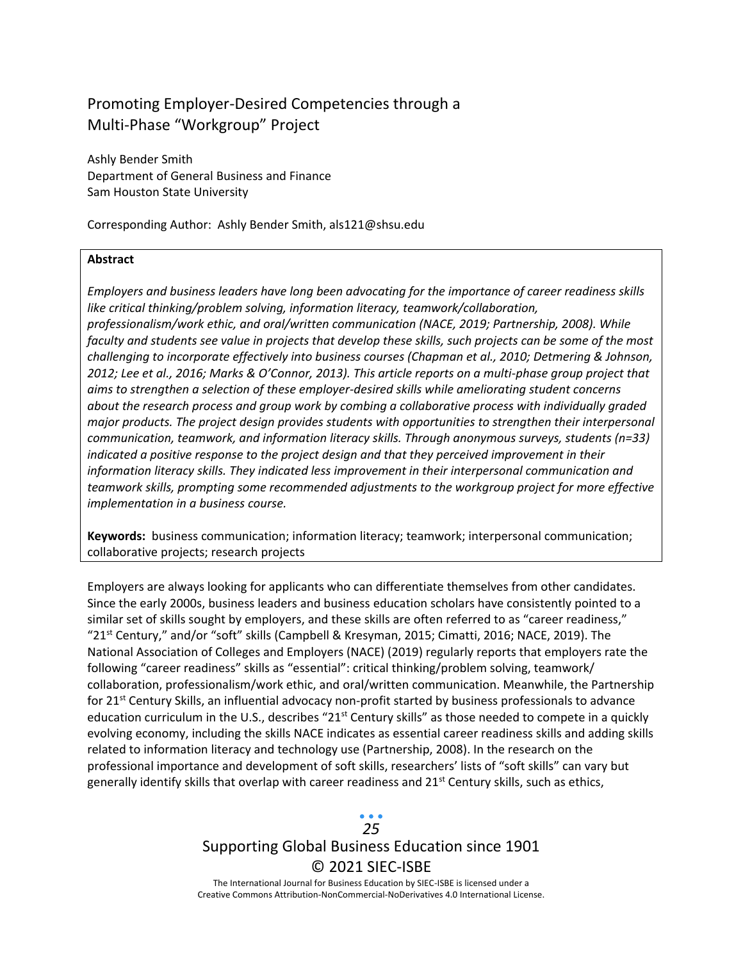## Promoting Employer-Desired Competencies through a Multi-Phase "Workgroup" Project

Ashly Bender Smith Department of General Business and Finance Sam Houston State University

Corresponding Author: Ashly Bender Smith, als121@shsu.edu

#### **Abstract**

*Employers and business leaders have long been advocating for the importance of career readiness skills like critical thinking/problem solving, information literacy, teamwork/collaboration, professionalism/work ethic, and oral/written communication (NACE, 2019; Partnership, 2008). While faculty and students see value in projects that develop these skills, such projects can be some of the most challenging to incorporate effectively into business courses (Chapman et al., 2010; Detmering & Johnson, 2012; Lee et al., 2016; Marks & O'Connor, 2013). This article reports on a multi-phase group project that aims to strengthen a selection of these employer-desired skills while ameliorating student concerns about the research process and group work by combing a collaborative process with individually graded major products. The project design provides students with opportunities to strengthen their interpersonal communication, teamwork, and information literacy skills. Through anonymous surveys, students (n=33) indicated a positive response to the project design and that they perceived improvement in their information literacy skills. They indicated less improvement in their interpersonal communication and teamwork skills, prompting some recommended adjustments to the workgroup project for more effective implementation in a business course.*

**Keywords:** business communication; information literacy; teamwork; interpersonal communication; collaborative projects; research projects

Employers are always looking for applicants who can differentiate themselves from other candidates. Since the early 2000s, business leaders and business education scholars have consistently pointed to a similar set of skills sought by employers, and these skills are often referred to as "career readiness," "21st Century," and/or "soft" skills (Campbell & Kresyman, 2015; Cimatti, 2016; NACE, 2019). The National Association of Colleges and Employers (NACE) (2019) regularly reports that employers rate the following "career readiness" skills as "essential": critical thinking/problem solving, teamwork/ collaboration, professionalism/work ethic, and oral/written communication. Meanwhile, the Partnership for 21<sup>st</sup> Century Skills, an influential advocacy non-profit started by business professionals to advance education curriculum in the U.S., describes " $21<sup>st</sup>$  Century skills" as those needed to compete in a quickly evolving economy, including the skills NACE indicates as essential career readiness skills and adding skills related to information literacy and technology use (Partnership, 2008). In the research on the professional importance and development of soft skills, researchers' lists of "soft skills" can vary but generally identify skills that overlap with career readiness and  $21^{st}$  Century skills, such as ethics,

# *25*

# Supporting Global Business Education since 1901 © 2021 SIEC-ISBE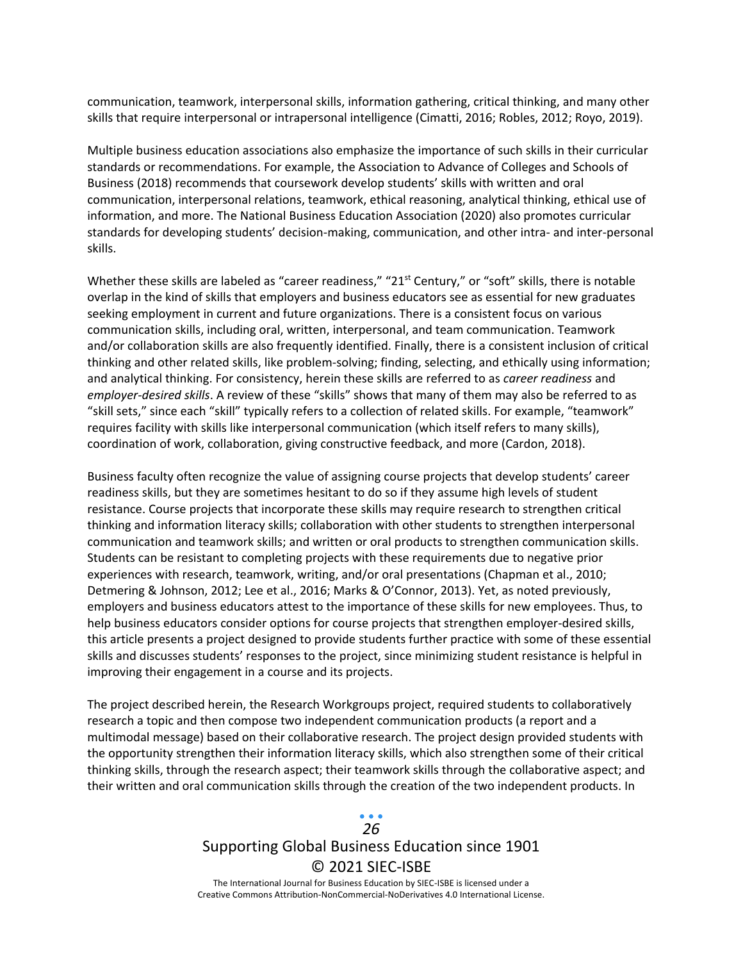communication, teamwork, interpersonal skills, information gathering, critical thinking, and many other skills that require interpersonal or intrapersonal intelligence (Cimatti, 2016; Robles, 2012; Royo, 2019).

Multiple business education associations also emphasize the importance of such skills in their curricular standards or recommendations. For example, the Association to Advance of Colleges and Schools of Business (2018) recommends that coursework develop students' skills with written and oral communication, interpersonal relations, teamwork, ethical reasoning, analytical thinking, ethical use of information, and more. The National Business Education Association (2020) also promotes curricular standards for developing students' decision-making, communication, and other intra- and inter-personal skills.

Whether these skills are labeled as "career readiness," "21<sup>st</sup> Century," or "soft" skills, there is notable overlap in the kind of skills that employers and business educators see as essential for new graduates seeking employment in current and future organizations. There is a consistent focus on various communication skills, including oral, written, interpersonal, and team communication. Teamwork and/or collaboration skills are also frequently identified. Finally, there is a consistent inclusion of critical thinking and other related skills, like problem-solving; finding, selecting, and ethically using information; and analytical thinking. For consistency, herein these skills are referred to as *career readiness* and *employer-desired skills*. A review of these "skills" shows that many of them may also be referred to as "skill sets," since each "skill" typically refers to a collection of related skills. For example, "teamwork" requires facility with skills like interpersonal communication (which itself refers to many skills), coordination of work, collaboration, giving constructive feedback, and more (Cardon, 2018).

Business faculty often recognize the value of assigning course projects that develop students' career readiness skills, but they are sometimes hesitant to do so if they assume high levels of student resistance. Course projects that incorporate these skills may require research to strengthen critical thinking and information literacy skills; collaboration with other students to strengthen interpersonal communication and teamwork skills; and written or oral products to strengthen communication skills. Students can be resistant to completing projects with these requirements due to negative prior experiences with research, teamwork, writing, and/or oral presentations (Chapman et al., 2010; Detmering & Johnson, 2012; Lee et al., 2016; Marks & O'Connor, 2013). Yet, as noted previously, employers and business educators attest to the importance of these skills for new employees. Thus, to help business educators consider options for course projects that strengthen employer-desired skills, this article presents a project designed to provide students further practice with some of these essential skills and discusses students' responses to the project, since minimizing student resistance is helpful in improving their engagement in a course and its projects.

The project described herein, the Research Workgroups project, required students to collaboratively research a topic and then compose two independent communication products (a report and a multimodal message) based on their collaborative research. The project design provided students with the opportunity strengthen their information literacy skills, which also strengthen some of their critical thinking skills, through the research aspect; their teamwork skills through the collaborative aspect; and their written and oral communication skills through the creation of the two independent products. In

### Supporting Global Business Education since 1901 © 2021 SIEC-ISBE The International Journal for Business Education by SIEC-ISBE is licensed under a *26*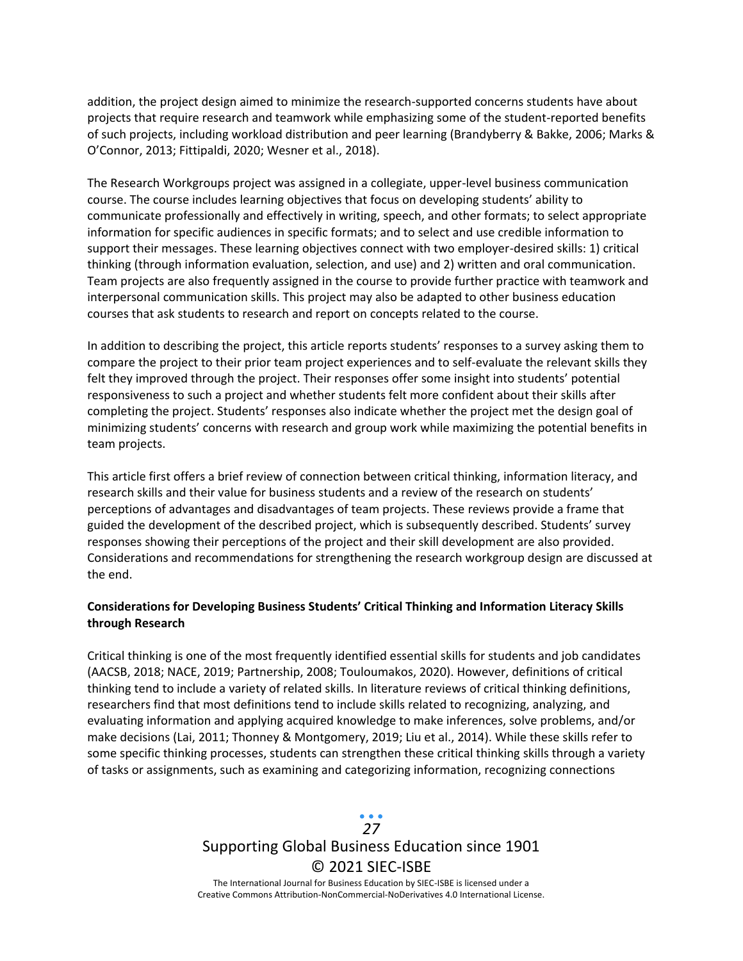addition, the project design aimed to minimize the research-supported concerns students have about projects that require research and teamwork while emphasizing some of the student-reported benefits of such projects, including workload distribution and peer learning (Brandyberry & Bakke, 2006; Marks & O'Connor, 2013; Fittipaldi, 2020; Wesner et al., 2018).

The Research Workgroups project was assigned in a collegiate, upper-level business communication course. The course includes learning objectives that focus on developing students' ability to communicate professionally and effectively in writing, speech, and other formats; to select appropriate information for specific audiences in specific formats; and to select and use credible information to support their messages. These learning objectives connect with two employer-desired skills: 1) critical thinking (through information evaluation, selection, and use) and 2) written and oral communication. Team projects are also frequently assigned in the course to provide further practice with teamwork and interpersonal communication skills. This project may also be adapted to other business education courses that ask students to research and report on concepts related to the course.

In addition to describing the project, this article reports students' responses to a survey asking them to compare the project to their prior team project experiences and to self-evaluate the relevant skills they felt they improved through the project. Their responses offer some insight into students' potential responsiveness to such a project and whether students felt more confident about their skills after completing the project. Students' responses also indicate whether the project met the design goal of minimizing students' concerns with research and group work while maximizing the potential benefits in team projects.

This article first offers a brief review of connection between critical thinking, information literacy, and research skills and their value for business students and a review of the research on students' perceptions of advantages and disadvantages of team projects. These reviews provide a frame that guided the development of the described project, which is subsequently described. Students' survey responses showing their perceptions of the project and their skill development are also provided. Considerations and recommendations for strengthening the research workgroup design are discussed at the end.

#### **Considerations for Developing Business Students' Critical Thinking and Information Literacy Skills through Research**

Critical thinking is one of the most frequently identified essential skills for students and job candidates (AACSB, 2018; NACE, 2019; Partnership, 2008; Touloumakos, 2020). However, definitions of critical thinking tend to include a variety of related skills. In literature reviews of critical thinking definitions, researchers find that most definitions tend to include skills related to recognizing, analyzing, and evaluating information and applying acquired knowledge to make inferences, solve problems, and/or make decisions (Lai, 2011; Thonney & Montgomery, 2019; Liu et al., 2014). While these skills refer to some specific thinking processes, students can strengthen these critical thinking skills through a variety of tasks or assignments, such as examining and categorizing information, recognizing connections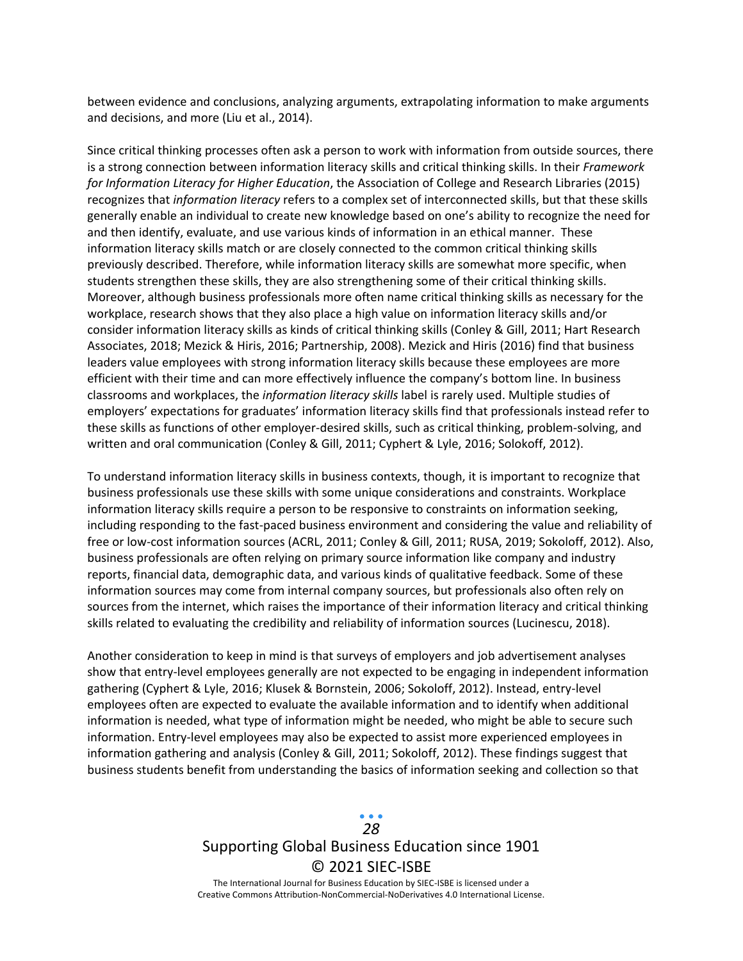between evidence and conclusions, analyzing arguments, extrapolating information to make arguments and decisions, and more (Liu et al., 2014).

Since critical thinking processes often ask a person to work with information from outside sources, there is a strong connection between information literacy skills and critical thinking skills. In their *Framework for Information Literacy for Higher Education*, the Association of College and Research Libraries (2015) recognizes that *information literacy* refers to a complex set of interconnected skills, but that these skills generally enable an individual to create new knowledge based on one's ability to recognize the need for and then identify, evaluate, and use various kinds of information in an ethical manner. These information literacy skills match or are closely connected to the common critical thinking skills previously described. Therefore, while information literacy skills are somewhat more specific, when students strengthen these skills, they are also strengthening some of their critical thinking skills. Moreover, although business professionals more often name critical thinking skills as necessary for the workplace, research shows that they also place a high value on information literacy skills and/or consider information literacy skills as kinds of critical thinking skills (Conley & Gill, 2011; Hart Research Associates, 2018; Mezick & Hiris, 2016; Partnership, 2008). Mezick and Hiris (2016) find that business leaders value employees with strong information literacy skills because these employees are more efficient with their time and can more effectively influence the company's bottom line. In business classrooms and workplaces, the *information literacy skills* label is rarely used. Multiple studies of employers' expectations for graduates' information literacy skills find that professionals instead refer to these skills as functions of other employer-desired skills, such as critical thinking, problem-solving, and written and oral communication (Conley & Gill, 2011; Cyphert & Lyle, 2016; Solokoff, 2012).

To understand information literacy skills in business contexts, though, it is important to recognize that business professionals use these skills with some unique considerations and constraints. Workplace information literacy skills require a person to be responsive to constraints on information seeking, including responding to the fast-paced business environment and considering the value and reliability of free or low-cost information sources (ACRL, 2011; Conley & Gill, 2011; RUSA, 2019; Sokoloff, 2012). Also, business professionals are often relying on primary source information like company and industry reports, financial data, demographic data, and various kinds of qualitative feedback. Some of these information sources may come from internal company sources, but professionals also often rely on sources from the internet, which raises the importance of their information literacy and critical thinking skills related to evaluating the credibility and reliability of information sources (Lucinescu, 2018).

Another consideration to keep in mind is that surveys of employers and job advertisement analyses show that entry-level employees generally are not expected to be engaging in independent information gathering (Cyphert & Lyle, 2016; Klusek & Bornstein, 2006; Sokoloff, 2012). Instead, entry-level employees often are expected to evaluate the available information and to identify when additional information is needed, what type of information might be needed, who might be able to secure such information. Entry-level employees may also be expected to assist more experienced employees in information gathering and analysis (Conley & Gill, 2011; Sokoloff, 2012). These findings suggest that business students benefit from understanding the basics of information seeking and collection so that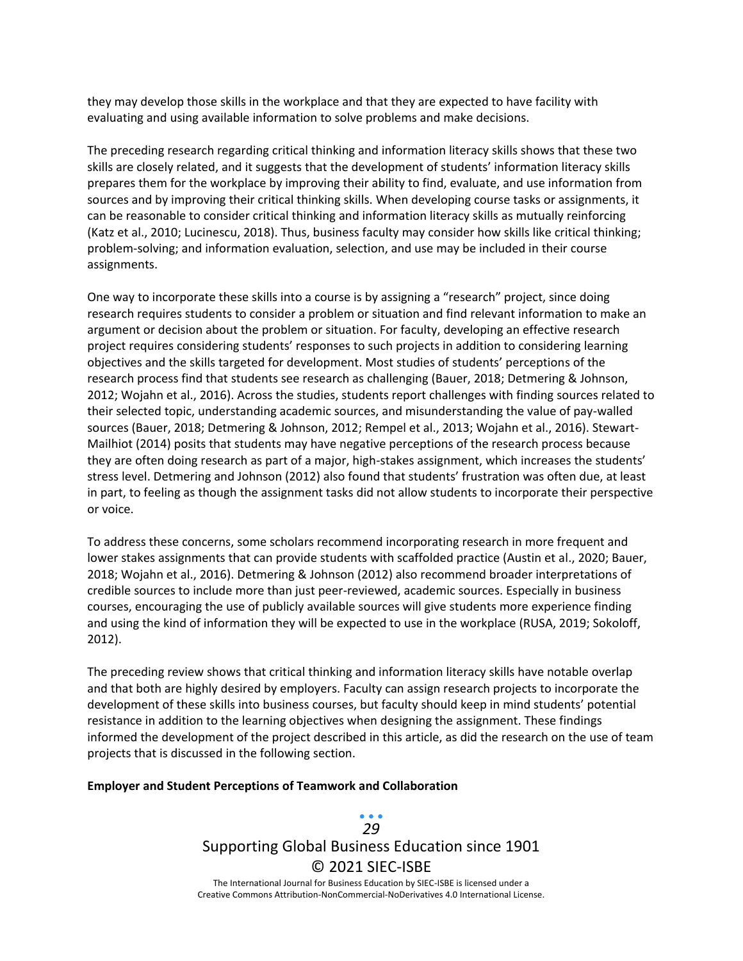they may develop those skills in the workplace and that they are expected to have facility with evaluating and using available information to solve problems and make decisions.

The preceding research regarding critical thinking and information literacy skills shows that these two skills are closely related, and it suggests that the development of students' information literacy skills prepares them for the workplace by improving their ability to find, evaluate, and use information from sources and by improving their critical thinking skills. When developing course tasks or assignments, it can be reasonable to consider critical thinking and information literacy skills as mutually reinforcing (Katz et al., 2010; Lucinescu, 2018). Thus, business faculty may consider how skills like critical thinking; problem-solving; and information evaluation, selection, and use may be included in their course assignments.

One way to incorporate these skills into a course is by assigning a "research" project, since doing research requires students to consider a problem or situation and find relevant information to make an argument or decision about the problem or situation. For faculty, developing an effective research project requires considering students' responses to such projects in addition to considering learning objectives and the skills targeted for development. Most studies of students' perceptions of the research process find that students see research as challenging (Bauer, 2018; Detmering & Johnson, 2012; Wojahn et al., 2016). Across the studies, students report challenges with finding sources related to their selected topic, understanding academic sources, and misunderstanding the value of pay-walled sources (Bauer, 2018; Detmering & Johnson, 2012; Rempel et al., 2013; Wojahn et al., 2016). Stewart-Mailhiot (2014) posits that students may have negative perceptions of the research process because they are often doing research as part of a major, high-stakes assignment, which increases the students' stress level. Detmering and Johnson (2012) also found that students' frustration was often due, at least in part, to feeling as though the assignment tasks did not allow students to incorporate their perspective or voice.

To address these concerns, some scholars recommend incorporating research in more frequent and lower stakes assignments that can provide students with scaffolded practice (Austin et al., 2020; Bauer, 2018; Wojahn et al., 2016). Detmering & Johnson (2012) also recommend broader interpretations of credible sources to include more than just peer-reviewed, academic sources. Especially in business courses, encouraging the use of publicly available sources will give students more experience finding and using the kind of information they will be expected to use in the workplace (RUSA, 2019; Sokoloff, 2012).

The preceding review shows that critical thinking and information literacy skills have notable overlap and that both are highly desired by employers. Faculty can assign research projects to incorporate the development of these skills into business courses, but faculty should keep in mind students' potential resistance in addition to the learning objectives when designing the assignment. These findings informed the development of the project described in this article, as did the research on the use of team projects that is discussed in the following section.

#### **Employer and Student Perceptions of Teamwork and Collaboration**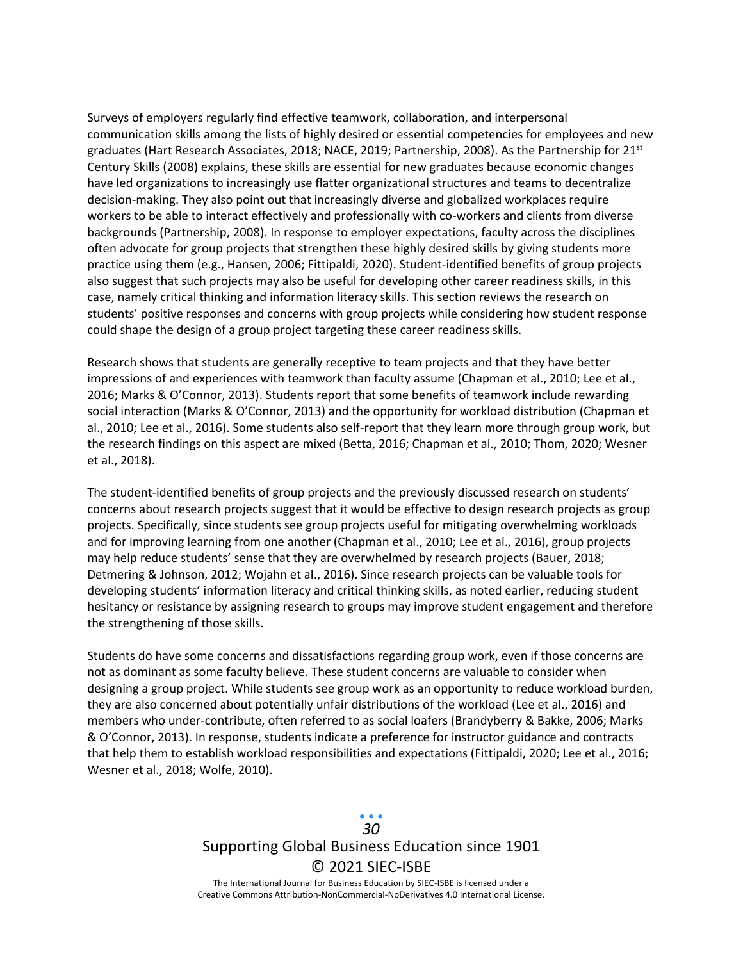Surveys of employers regularly find effective teamwork, collaboration, and interpersonal communication skills among the lists of highly desired or essential competencies for employees and new graduates (Hart Research Associates, 2018; NACE, 2019; Partnership, 2008). As the Partnership for 21<sup>st</sup> Century Skills (2008) explains, these skills are essential for new graduates because economic changes have led organizations to increasingly use flatter organizational structures and teams to decentralize decision-making. They also point out that increasingly diverse and globalized workplaces require workers to be able to interact effectively and professionally with co-workers and clients from diverse backgrounds (Partnership, 2008). In response to employer expectations, faculty across the disciplines often advocate for group projects that strengthen these highly desired skills by giving students more practice using them (e.g., Hansen, 2006; Fittipaldi, 2020). Student-identified benefits of group projects also suggest that such projects may also be useful for developing other career readiness skills, in this case, namely critical thinking and information literacy skills. This section reviews the research on students' positive responses and concerns with group projects while considering how student response could shape the design of a group project targeting these career readiness skills.

Research shows that students are generally receptive to team projects and that they have better impressions of and experiences with teamwork than faculty assume (Chapman et al., 2010; Lee et al., 2016; Marks & O'Connor, 2013). Students report that some benefits of teamwork include rewarding social interaction (Marks & O'Connor, 2013) and the opportunity for workload distribution (Chapman et al., 2010; Lee et al., 2016). Some students also self-report that they learn more through group work, but the research findings on this aspect are mixed (Betta, 2016; Chapman et al., 2010; Thom, 2020; Wesner et al., 2018).

The student-identified benefits of group projects and the previously discussed research on students' concerns about research projects suggest that it would be effective to design research projects as group projects. Specifically, since students see group projects useful for mitigating overwhelming workloads and for improving learning from one another (Chapman et al., 2010; Lee et al., 2016), group projects may help reduce students' sense that they are overwhelmed by research projects (Bauer, 2018; Detmering & Johnson, 2012; Wojahn et al., 2016). Since research projects can be valuable tools for developing students' information literacy and critical thinking skills, as noted earlier, reducing student hesitancy or resistance by assigning research to groups may improve student engagement and therefore the strengthening of those skills.

Students do have some concerns and dissatisfactions regarding group work, even if those concerns are not as dominant as some faculty believe. These student concerns are valuable to consider when designing a group project. While students see group work as an opportunity to reduce workload burden, they are also concerned about potentially unfair distributions of the workload (Lee et al., 2016) and members who under-contribute, often referred to as social loafers (Brandyberry & Bakke, 2006; Marks & O'Connor, 2013). In response, students indicate a preference for instructor guidance and contracts that help them to establish workload responsibilities and expectations (Fittipaldi, 2020; Lee et al., 2016; Wesner et al., 2018; Wolfe, 2010).

> Supporting Global Business Education since 1901 © 2021 SIEC-ISBE The International Journal for Business Education by SIEC-ISBE is licensed under a *30*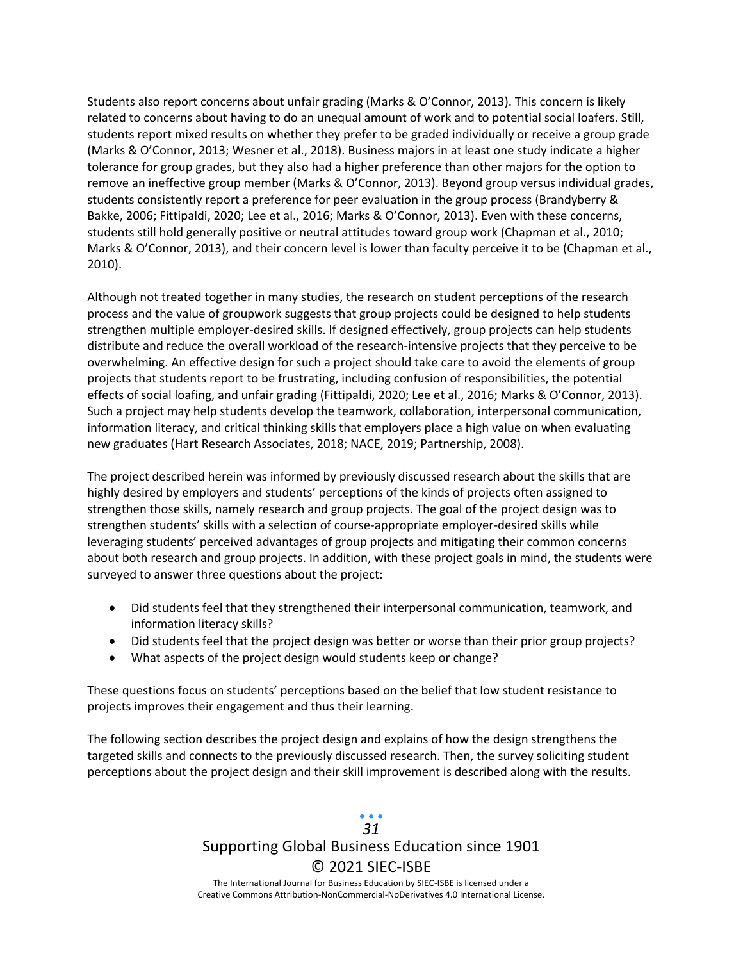Students also report concerns about unfair grading (Marks & O'Connor, 2013). This concern is likely related to concerns about having to do an unequal amount of work and to potential social loafers. Still, students report mixed results on whether they prefer to be graded individually or receive a group grade (Marks & O'Connor, 2013; Wesner et al., 2018). Business majors in at least one study indicate a higher tolerance for group grades, but they also had a higher preference than other majors for the option to remove an ineffective group member (Marks & O'Connor, 2013). Beyond group versus individual grades, students consistently report a preference for peer evaluation in the group process (Brandyberry & Bakke, 2006; Fittipaldi, 2020; Lee et al., 2016; Marks & O'Connor, 2013). Even with these concerns, students still hold generally positive or neutral attitudes toward group work (Chapman et al., 2010; Marks & O'Connor, 2013), and their concern level is lower than faculty perceive it to be (Chapman et al., 2010).

Although not treated together in many studies, the research on student perceptions of the research process and the value of groupwork suggests that group projects could be designed to help students strengthen multiple employer-desired skills. If designed effectively, group projects can help students distribute and reduce the overall workload of the research-intensive projects that they perceive to be overwhelming. An effective design for such a project should take care to avoid the elements of group projects that students report to be frustrating, including confusion of responsibilities, the potential effects of social loafing, and unfair grading (Fittipaldi, 2020; Lee et al., 2016; Marks & O'Connor, 2013). Such a project may help students develop the teamwork, collaboration, interpersonal communication, information literacy, and critical thinking skills that employers place a high value on when evaluating new graduates (Hart Research Associates, 2018; NACE, 2019; Partnership, 2008).

The project described herein was informed by previously discussed research about the skills that are highly desired by employers and students' perceptions of the kinds of projects often assigned to strengthen those skills, namely research and group projects. The goal of the project design was to strengthen students' skills with a selection of course-appropriate employer-desired skills while leveraging students' perceived advantages of group projects and mitigating their common concerns about both research and group projects. In addition, with these project goals in mind, the students were surveyed to answer three questions about the project:

- Did students feel that they strengthened their interpersonal communication, teamwork, and information literacy skills?
- Did students feel that the project design was better or worse than their prior group projects?
- What aspects of the project design would students keep or change?

These questions focus on students' perceptions based on the belief that low student resistance to projects improves their engagement and thus their learning.

The following section describes the project design and explains of how the design strengthens the targeted skills and connects to the previously discussed research. Then, the survey soliciting student perceptions about the project design and their skill improvement is described along with the results.

## Supporting Global Business Education since 1901 © 2021 SIEC-ISBE The International Journal for Business Education by SIEC-ISBE is licensed under a *31*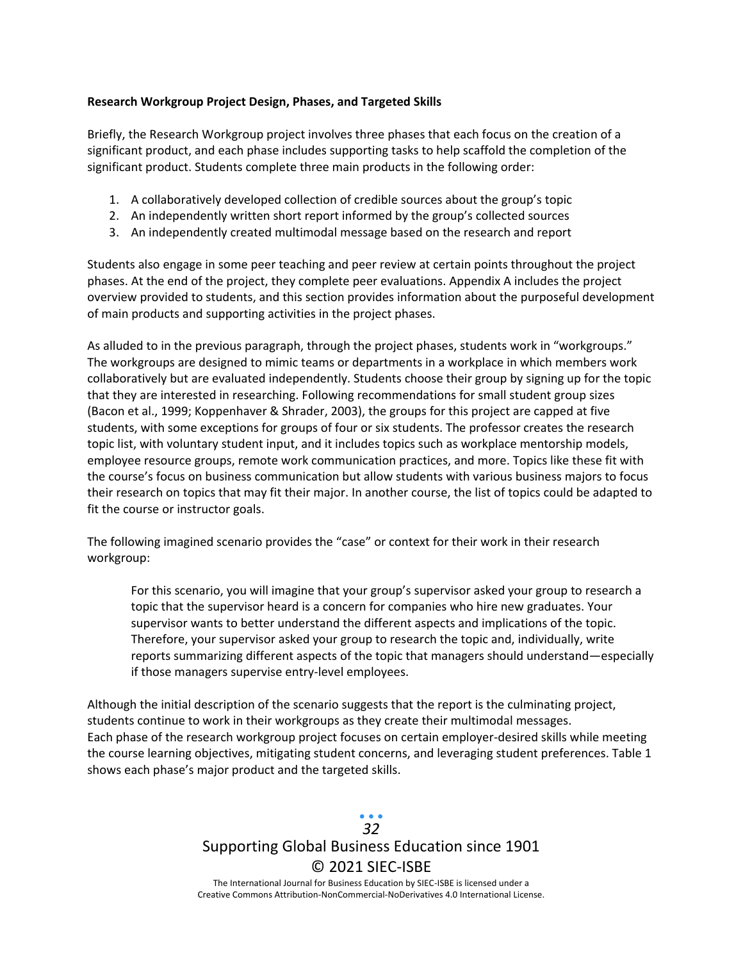#### **Research Workgroup Project Design, Phases, and Targeted Skills**

Briefly, the Research Workgroup project involves three phases that each focus on the creation of a significant product, and each phase includes supporting tasks to help scaffold the completion of the significant product. Students complete three main products in the following order:

- 1. A collaboratively developed collection of credible sources about the group's topic
- 2. An independently written short report informed by the group's collected sources
- 3. An independently created multimodal message based on the research and report

Students also engage in some peer teaching and peer review at certain points throughout the project phases. At the end of the project, they complete peer evaluations. Appendix A includes the project overview provided to students, and this section provides information about the purposeful development of main products and supporting activities in the project phases.

As alluded to in the previous paragraph, through the project phases, students work in "workgroups." The workgroups are designed to mimic teams or departments in a workplace in which members work collaboratively but are evaluated independently. Students choose their group by signing up for the topic that they are interested in researching. Following recommendations for small student group sizes (Bacon et al., 1999; Koppenhaver & Shrader, 2003), the groups for this project are capped at five students, with some exceptions for groups of four or six students. The professor creates the research topic list, with voluntary student input, and it includes topics such as workplace mentorship models, employee resource groups, remote work communication practices, and more. Topics like these fit with the course's focus on business communication but allow students with various business majors to focus their research on topics that may fit their major. In another course, the list of topics could be adapted to fit the course or instructor goals.

The following imagined scenario provides the "case" or context for their work in their research workgroup:

For this scenario, you will imagine that your group's supervisor asked your group to research a topic that the supervisor heard is a concern for companies who hire new graduates. Your supervisor wants to better understand the different aspects and implications of the topic. Therefore, your supervisor asked your group to research the topic and, individually, write reports summarizing different aspects of the topic that managers should understand—especially if those managers supervise entry-level employees.

Although the initial description of the scenario suggests that the report is the culminating project, students continue to work in their workgroups as they create their multimodal messages. Each phase of the research workgroup project focuses on certain employer-desired skills while meeting the course learning objectives, mitigating student concerns, and leveraging student preferences. Table 1 shows each phase's major product and the targeted skills.

## Supporting Global Business Education since 1901 © 2021 SIEC-ISBE The International Journal for Business Education by SIEC-ISBE is licensed under a *32*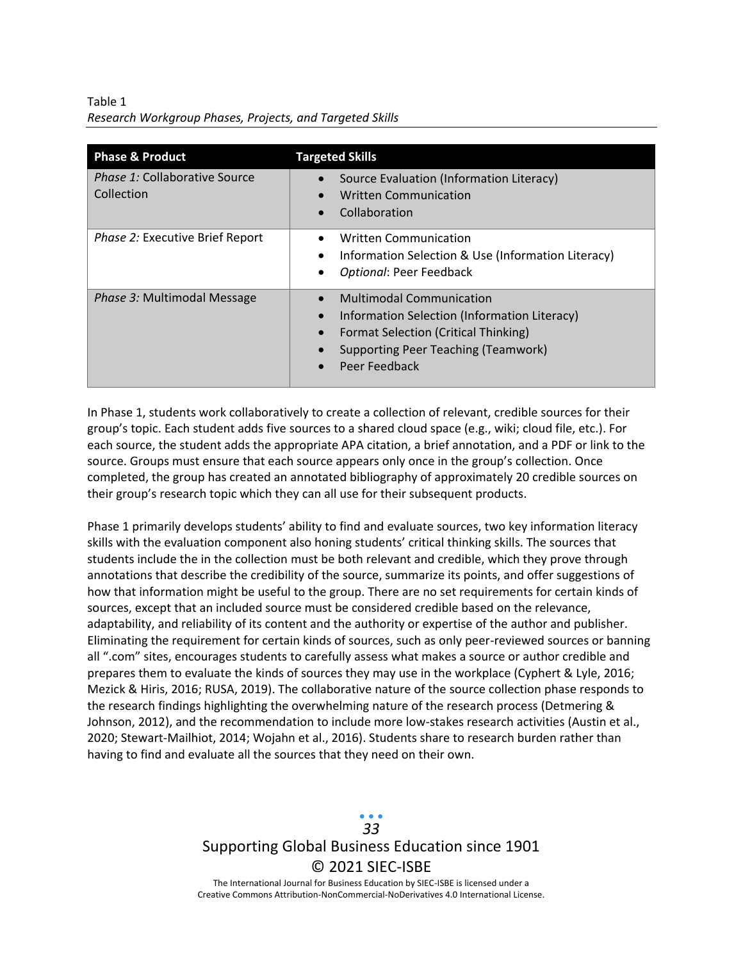Table 1 *Research Workgroup Phases, Projects, and Targeted Skills*

| <b>Phase &amp; Product</b>                         | <b>Targeted Skills</b>                                                                                                                                                                              |
|----------------------------------------------------|-----------------------------------------------------------------------------------------------------------------------------------------------------------------------------------------------------|
| <i>Phase 1:</i> Collaborative Source<br>Collection | Source Evaluation (Information Literacy)<br><b>Written Communication</b><br>Collaboration                                                                                                           |
| Phase 2: Executive Brief Report                    | <b>Written Communication</b><br>Information Selection & Use (Information Literacy)<br>$\bullet$<br>Optional: Peer Feedback<br>٠                                                                     |
| Phase 3: Multimodal Message                        | <b>Multimodal Communication</b><br>Information Selection (Information Literacy)<br>Format Selection (Critical Thinking)<br>$\bullet$<br><b>Supporting Peer Teaching (Teamwork)</b><br>Peer Feedback |

In Phase 1, students work collaboratively to create a collection of relevant, credible sources for their group's topic. Each student adds five sources to a shared cloud space (e.g., wiki; cloud file, etc.). For each source, the student adds the appropriate APA citation, a brief annotation, and a PDF or link to the source. Groups must ensure that each source appears only once in the group's collection. Once completed, the group has created an annotated bibliography of approximately 20 credible sources on their group's research topic which they can all use for their subsequent products.

Phase 1 primarily develops students' ability to find and evaluate sources, two key information literacy skills with the evaluation component also honing students' critical thinking skills. The sources that students include the in the collection must be both relevant and credible, which they prove through annotations that describe the credibility of the source, summarize its points, and offer suggestions of how that information might be useful to the group. There are no set requirements for certain kinds of sources, except that an included source must be considered credible based on the relevance, adaptability, and reliability of its content and the authority or expertise of the author and publisher. Eliminating the requirement for certain kinds of sources, such as only peer-reviewed sources or banning all ".com" sites, encourages students to carefully assess what makes a source or author credible and prepares them to evaluate the kinds of sources they may use in the workplace (Cyphert & Lyle, 2016; Mezick & Hiris, 2016; RUSA, 2019). The collaborative nature of the source collection phase responds to the research findings highlighting the overwhelming nature of the research process (Detmering & Johnson, 2012), and the recommendation to include more low-stakes research activities (Austin et al., 2020; Stewart-Mailhiot, 2014; Wojahn et al., 2016). Students share to research burden rather than having to find and evaluate all the sources that they need on their own.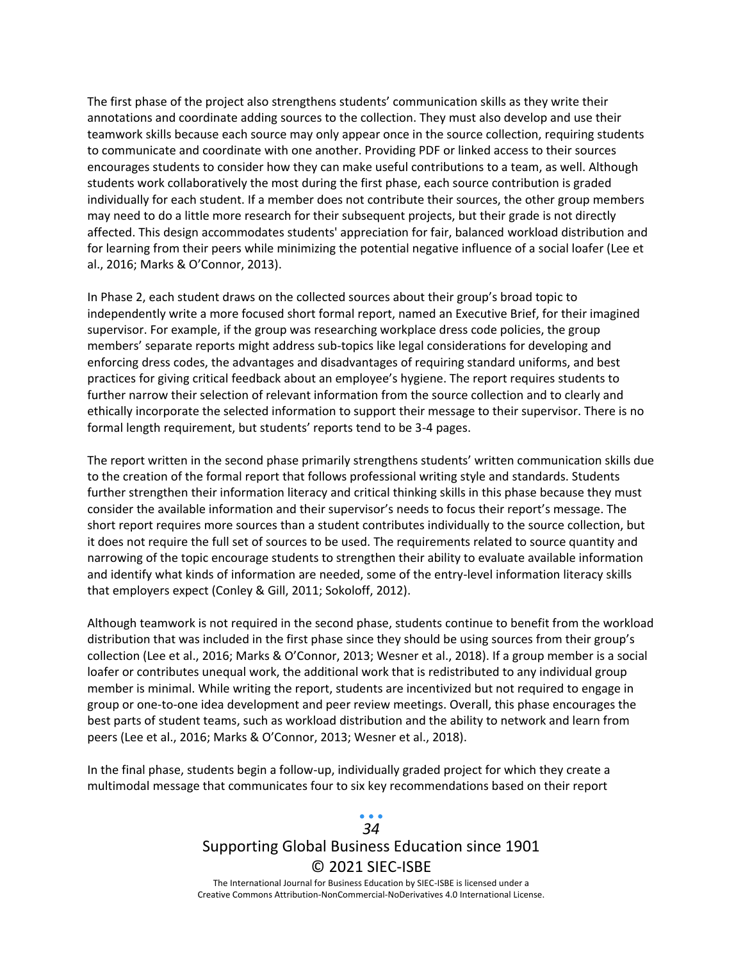The first phase of the project also strengthens students' communication skills as they write their annotations and coordinate adding sources to the collection. They must also develop and use their teamwork skills because each source may only appear once in the source collection, requiring students to communicate and coordinate with one another. Providing PDF or linked access to their sources encourages students to consider how they can make useful contributions to a team, as well. Although students work collaboratively the most during the first phase, each source contribution is graded individually for each student. If a member does not contribute their sources, the other group members may need to do a little more research for their subsequent projects, but their grade is not directly affected. This design accommodates students' appreciation for fair, balanced workload distribution and for learning from their peers while minimizing the potential negative influence of a social loafer (Lee et al., 2016; Marks & O'Connor, 2013).

In Phase 2, each student draws on the collected sources about their group's broad topic to independently write a more focused short formal report, named an Executive Brief, for their imagined supervisor. For example, if the group was researching workplace dress code policies, the group members' separate reports might address sub-topics like legal considerations for developing and enforcing dress codes, the advantages and disadvantages of requiring standard uniforms, and best practices for giving critical feedback about an employee's hygiene. The report requires students to further narrow their selection of relevant information from the source collection and to clearly and ethically incorporate the selected information to support their message to their supervisor. There is no formal length requirement, but students' reports tend to be 3-4 pages.

The report written in the second phase primarily strengthens students' written communication skills due to the creation of the formal report that follows professional writing style and standards. Students further strengthen their information literacy and critical thinking skills in this phase because they must consider the available information and their supervisor's needs to focus their report's message. The short report requires more sources than a student contributes individually to the source collection, but it does not require the full set of sources to be used. The requirements related to source quantity and narrowing of the topic encourage students to strengthen their ability to evaluate available information and identify what kinds of information are needed, some of the entry-level information literacy skills that employers expect (Conley & Gill, 2011; Sokoloff, 2012).

Although teamwork is not required in the second phase, students continue to benefit from the workload distribution that was included in the first phase since they should be using sources from their group's collection (Lee et al., 2016; Marks & O'Connor, 2013; Wesner et al., 2018). If a group member is a social loafer or contributes unequal work, the additional work that is redistributed to any individual group member is minimal. While writing the report, students are incentivized but not required to engage in group or one-to-one idea development and peer review meetings. Overall, this phase encourages the best parts of student teams, such as workload distribution and the ability to network and learn from peers (Lee et al., 2016; Marks & O'Connor, 2013; Wesner et al., 2018).

In the final phase, students begin a follow-up, individually graded project for which they create a multimodal message that communicates four to six key recommendations based on their report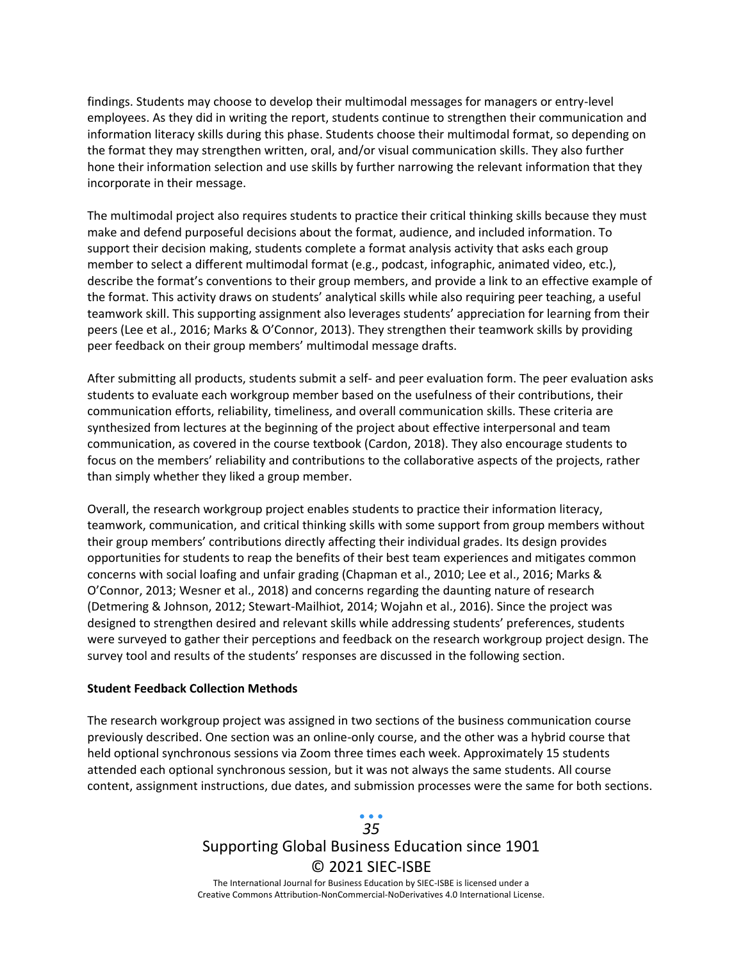findings. Students may choose to develop their multimodal messages for managers or entry-level employees. As they did in writing the report, students continue to strengthen their communication and information literacy skills during this phase. Students choose their multimodal format, so depending on the format they may strengthen written, oral, and/or visual communication skills. They also further hone their information selection and use skills by further narrowing the relevant information that they incorporate in their message.

The multimodal project also requires students to practice their critical thinking skills because they must make and defend purposeful decisions about the format, audience, and included information. To support their decision making, students complete a format analysis activity that asks each group member to select a different multimodal format (e.g., podcast, infographic, animated video, etc.), describe the format's conventions to their group members, and provide a link to an effective example of the format. This activity draws on students' analytical skills while also requiring peer teaching, a useful teamwork skill. This supporting assignment also leverages students' appreciation for learning from their peers (Lee et al., 2016; Marks & O'Connor, 2013). They strengthen their teamwork skills by providing peer feedback on their group members' multimodal message drafts.

After submitting all products, students submit a self- and peer evaluation form. The peer evaluation asks students to evaluate each workgroup member based on the usefulness of their contributions, their communication efforts, reliability, timeliness, and overall communication skills. These criteria are synthesized from lectures at the beginning of the project about effective interpersonal and team communication, as covered in the course textbook (Cardon, 2018). They also encourage students to focus on the members' reliability and contributions to the collaborative aspects of the projects, rather than simply whether they liked a group member.

Overall, the research workgroup project enables students to practice their information literacy, teamwork, communication, and critical thinking skills with some support from group members without their group members' contributions directly affecting their individual grades. Its design provides opportunities for students to reap the benefits of their best team experiences and mitigates common concerns with social loafing and unfair grading (Chapman et al., 2010; Lee et al., 2016; Marks & O'Connor, 2013; Wesner et al., 2018) and concerns regarding the daunting nature of research (Detmering & Johnson, 2012; Stewart-Mailhiot, 2014; Wojahn et al., 2016). Since the project was designed to strengthen desired and relevant skills while addressing students' preferences, students were surveyed to gather their perceptions and feedback on the research workgroup project design. The survey tool and results of the students' responses are discussed in the following section.

#### **Student Feedback Collection Methods**

The research workgroup project was assigned in two sections of the business communication course previously described. One section was an online-only course, and the other was a hybrid course that held optional synchronous sessions via Zoom three times each week. Approximately 15 students attended each optional synchronous session, but it was not always the same students. All course content, assignment instructions, due dates, and submission processes were the same for both sections.

### Supporting Global Business Education since 1901 © 2021 SIEC-ISBE The International Journal for Business Education by SIEC-ISBE is licensed under a *35*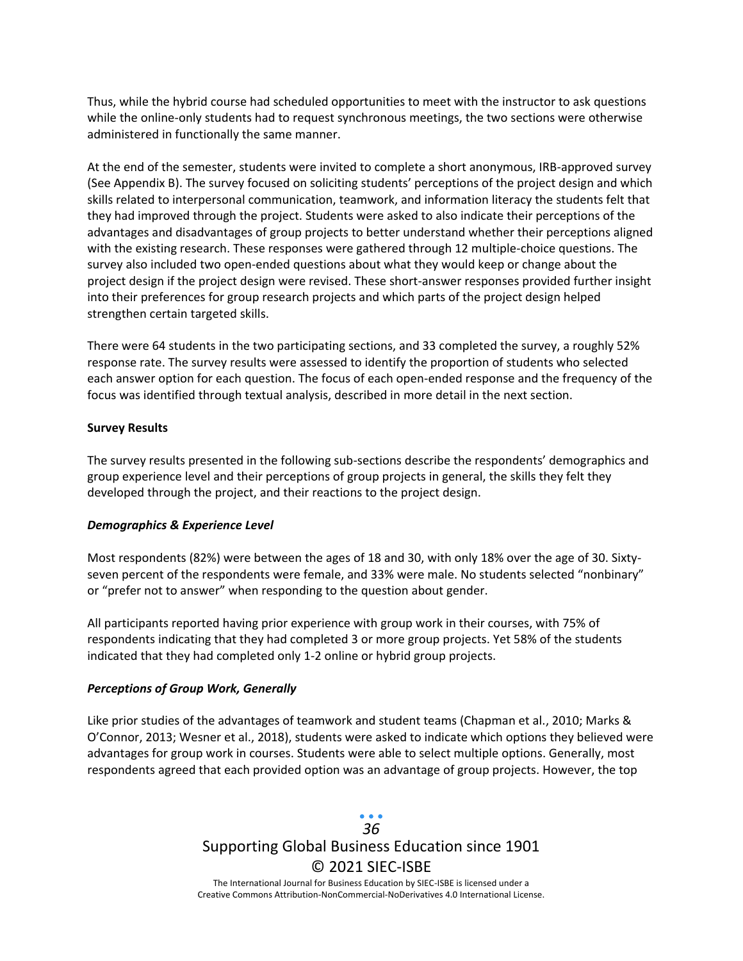Thus, while the hybrid course had scheduled opportunities to meet with the instructor to ask questions while the online-only students had to request synchronous meetings, the two sections were otherwise administered in functionally the same manner.

At the end of the semester, students were invited to complete a short anonymous, IRB-approved survey (See Appendix B). The survey focused on soliciting students' perceptions of the project design and which skills related to interpersonal communication, teamwork, and information literacy the students felt that they had improved through the project. Students were asked to also indicate their perceptions of the advantages and disadvantages of group projects to better understand whether their perceptions aligned with the existing research. These responses were gathered through 12 multiple-choice questions. The survey also included two open-ended questions about what they would keep or change about the project design if the project design were revised. These short-answer responses provided further insight into their preferences for group research projects and which parts of the project design helped strengthen certain targeted skills.

There were 64 students in the two participating sections, and 33 completed the survey, a roughly 52% response rate. The survey results were assessed to identify the proportion of students who selected each answer option for each question. The focus of each open-ended response and the frequency of the focus was identified through textual analysis, described in more detail in the next section.

#### **Survey Results**

The survey results presented in the following sub-sections describe the respondents' demographics and group experience level and their perceptions of group projects in general, the skills they felt they developed through the project, and their reactions to the project design.

#### *Demographics & Experience Level*

Most respondents (82%) were between the ages of 18 and 30, with only 18% over the age of 30. Sixtyseven percent of the respondents were female, and 33% were male. No students selected "nonbinary" or "prefer not to answer" when responding to the question about gender.

All participants reported having prior experience with group work in their courses, with 75% of respondents indicating that they had completed 3 or more group projects. Yet 58% of the students indicated that they had completed only 1-2 online or hybrid group projects.

#### *Perceptions of Group Work, Generally*

Like prior studies of the advantages of teamwork and student teams (Chapman et al., 2010; Marks & O'Connor, 2013; Wesner et al., 2018), students were asked to indicate which options they believed were advantages for group work in courses. Students were able to select multiple options. Generally, most respondents agreed that each provided option was an advantage of group projects. However, the top

## Supporting Global Business Education since 1901 © 2021 SIEC-ISBE The International Journal for Business Education by SIEC-ISBE is licensed under a *36*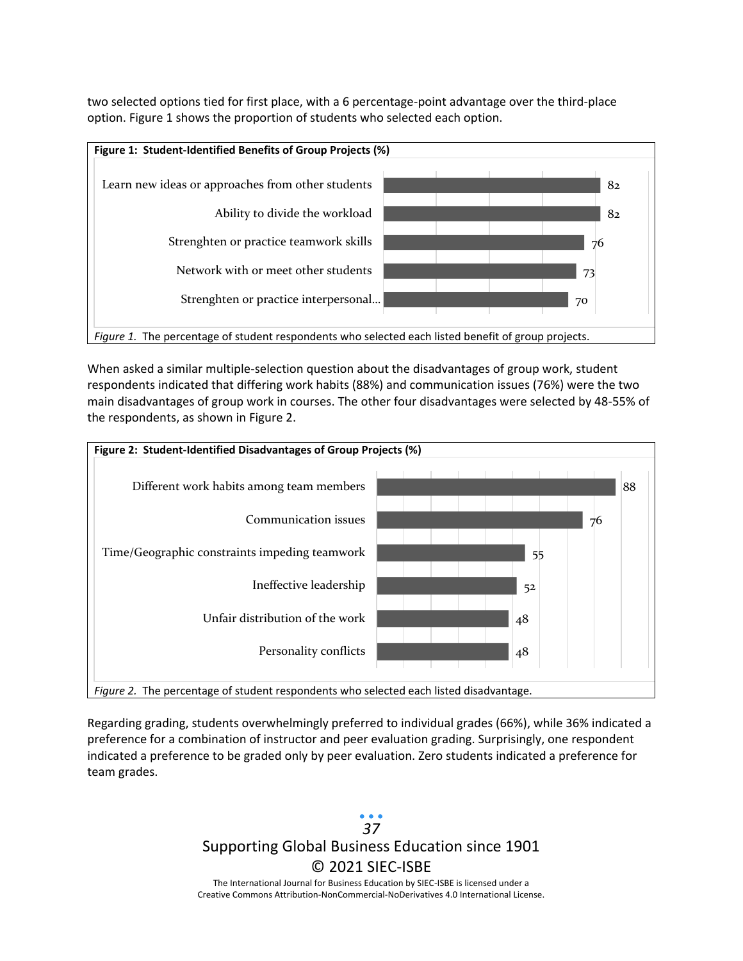two selected options tied for first place, with a 6 percentage-point advantage over the third-place option. Figure 1 shows the proportion of students who selected each option.



When asked a similar multiple-selection question about the disadvantages of group work, student respondents indicated that differing work habits (88%) and communication issues (76%) were the two main disadvantages of group work in courses. The other four disadvantages were selected by 48-55% of the respondents, as shown in Figure 2.



Regarding grading, students overwhelmingly preferred to individual grades (66%), while 36% indicated a preference for a combination of instructor and peer evaluation grading. Surprisingly, one respondent indicated a preference to be graded only by peer evaluation. Zero students indicated a preference for team grades.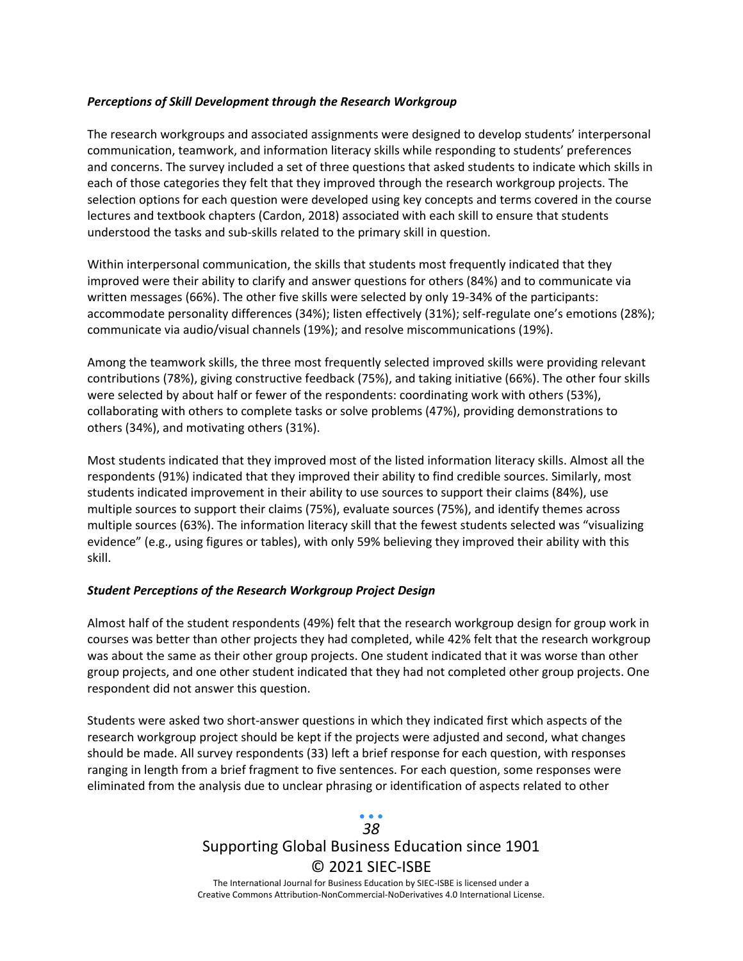#### *Perceptions of Skill Development through the Research Workgroup*

The research workgroups and associated assignments were designed to develop students' interpersonal communication, teamwork, and information literacy skills while responding to students' preferences and concerns. The survey included a set of three questions that asked students to indicate which skills in each of those categories they felt that they improved through the research workgroup projects. The selection options for each question were developed using key concepts and terms covered in the course lectures and textbook chapters (Cardon, 2018) associated with each skill to ensure that students understood the tasks and sub-skills related to the primary skill in question.

Within interpersonal communication, the skills that students most frequently indicated that they improved were their ability to clarify and answer questions for others (84%) and to communicate via written messages (66%). The other five skills were selected by only 19-34% of the participants: accommodate personality differences (34%); listen effectively (31%); self-regulate one's emotions (28%); communicate via audio/visual channels (19%); and resolve miscommunications (19%).

Among the teamwork skills, the three most frequently selected improved skills were providing relevant contributions (78%), giving constructive feedback (75%), and taking initiative (66%). The other four skills were selected by about half or fewer of the respondents: coordinating work with others (53%), collaborating with others to complete tasks or solve problems (47%), providing demonstrations to others (34%), and motivating others (31%).

Most students indicated that they improved most of the listed information literacy skills. Almost all the respondents (91%) indicated that they improved their ability to find credible sources. Similarly, most students indicated improvement in their ability to use sources to support their claims (84%), use multiple sources to support their claims (75%), evaluate sources (75%), and identify themes across multiple sources (63%). The information literacy skill that the fewest students selected was "visualizing evidence" (e.g., using figures or tables), with only 59% believing they improved their ability with this skill.

#### *Student Perceptions of the Research Workgroup Project Design*

Almost half of the student respondents (49%) felt that the research workgroup design for group work in courses was better than other projects they had completed, while 42% felt that the research workgroup was about the same as their other group projects. One student indicated that it was worse than other group projects, and one other student indicated that they had not completed other group projects. One respondent did not answer this question.

Students were asked two short-answer questions in which they indicated first which aspects of the research workgroup project should be kept if the projects were adjusted and second, what changes should be made. All survey respondents (33) left a brief response for each question, with responses ranging in length from a brief fragment to five sentences. For each question, some responses were eliminated from the analysis due to unclear phrasing or identification of aspects related to other

## Supporting Global Business Education since 1901 © 2021 SIEC-ISBE The International Journal for Business Education by SIEC-ISBE is licensed under a *38*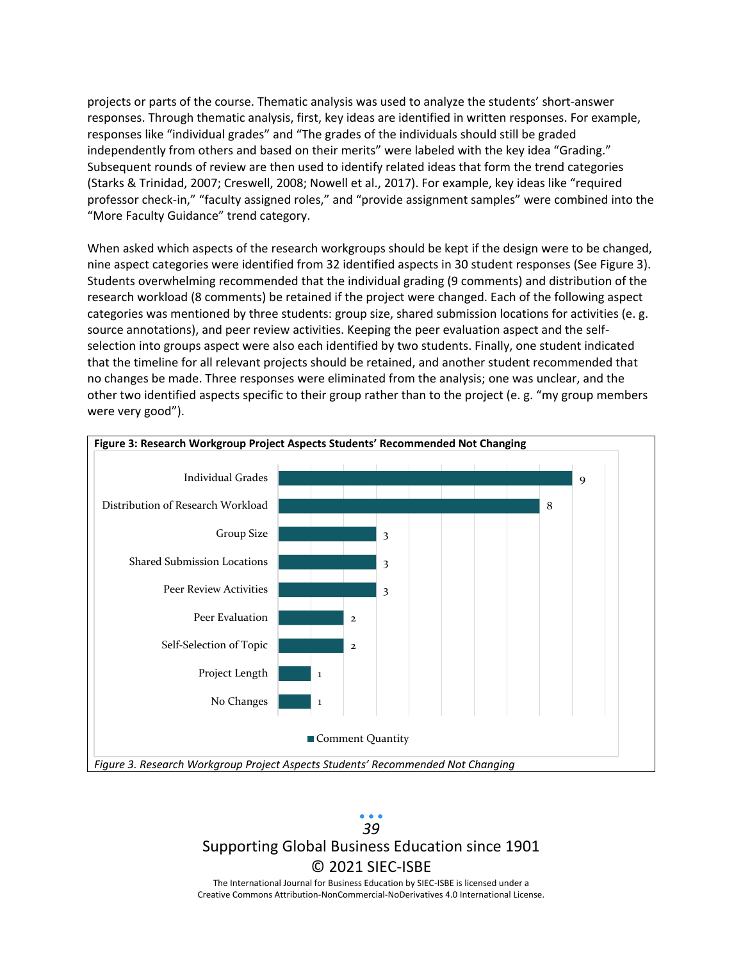projects or parts of the course. Thematic analysis was used to analyze the students' short-answer responses. Through thematic analysis, first, key ideas are identified in written responses. For example, responses like "individual grades" and "The grades of the individuals should still be graded independently from others and based on their merits" were labeled with the key idea "Grading." Subsequent rounds of review are then used to identify related ideas that form the trend categories (Starks & Trinidad, 2007; Creswell, 2008; Nowell et al., 2017). For example, key ideas like "required professor check-in," "faculty assigned roles," and "provide assignment samples" were combined into the "More Faculty Guidance" trend category.

When asked which aspects of the research workgroups should be kept if the design were to be changed, nine aspect categories were identified from 32 identified aspects in 30 student responses (See Figure 3). Students overwhelming recommended that the individual grading (9 comments) and distribution of the research workload (8 comments) be retained if the project were changed. Each of the following aspect categories was mentioned by three students: group size, shared submission locations for activities (e. g. source annotations), and peer review activities. Keeping the peer evaluation aspect and the selfselection into groups aspect were also each identified by two students. Finally, one student indicated that the timeline for all relevant projects should be retained, and another student recommended that no changes be made. Three responses were eliminated from the analysis; one was unclear, and the other two identified aspects specific to their group rather than to the project (e. g. "my group members were very good").



## Supporting Global Business Education since 1901 © 2021 SIEC-ISBE The International Journal for Business Education by SIEC-ISBE is licensed under a *39*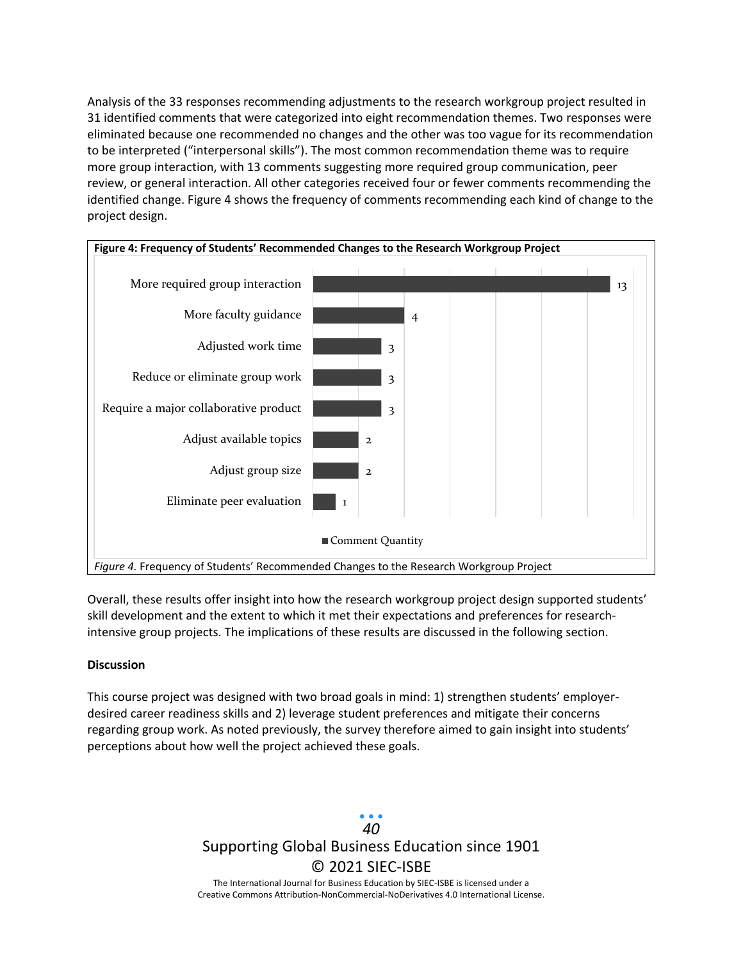Analysis of the 33 responses recommending adjustments to the research workgroup project resulted in 31 identified comments that were categorized into eight recommendation themes. Two responses were eliminated because one recommended no changes and the other was too vague for its recommendation to be interpreted ("interpersonal skills"). The most common recommendation theme was to require more group interaction, with 13 comments suggesting more required group communication, peer review, or general interaction. All other categories received four or fewer comments recommending the identified change. Figure 4 shows the frequency of comments recommending each kind of change to the project design.



Overall, these results offer insight into how the research workgroup project design supported students' skill development and the extent to which it met their expectations and preferences for researchintensive group projects. The implications of these results are discussed in the following section.

#### **Discussion**

This course project was designed with two broad goals in mind: 1) strengthen students' employerdesired career readiness skills and 2) leverage student preferences and mitigate their concerns regarding group work. As noted previously, the survey therefore aimed to gain insight into students' perceptions about how well the project achieved these goals.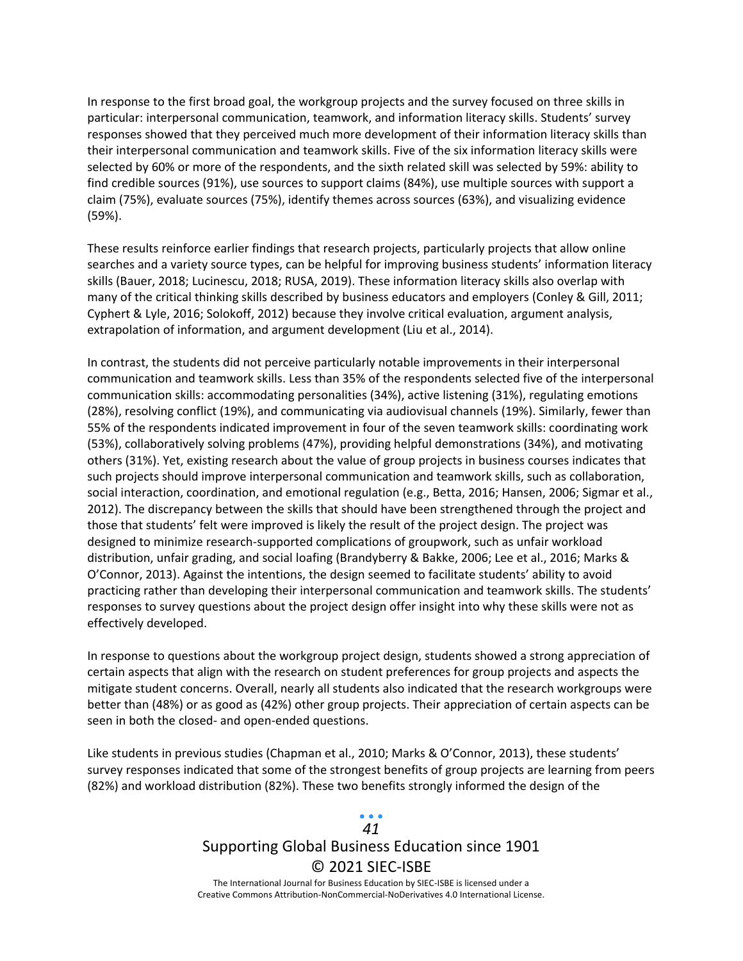In response to the first broad goal, the workgroup projects and the survey focused on three skills in particular: interpersonal communication, teamwork, and information literacy skills. Students' survey responses showed that they perceived much more development of their information literacy skills than their interpersonal communication and teamwork skills. Five of the six information literacy skills were selected by 60% or more of the respondents, and the sixth related skill was selected by 59%: ability to find credible sources (91%), use sources to support claims (84%), use multiple sources with support a claim (75%), evaluate sources (75%), identify themes across sources (63%), and visualizing evidence (59%).

These results reinforce earlier findings that research projects, particularly projects that allow online searches and a variety source types, can be helpful for improving business students' information literacy skills (Bauer, 2018; Lucinescu, 2018; RUSA, 2019). These information literacy skills also overlap with many of the critical thinking skills described by business educators and employers (Conley & Gill, 2011; Cyphert & Lyle, 2016; Solokoff, 2012) because they involve critical evaluation, argument analysis, extrapolation of information, and argument development (Liu et al., 2014).

In contrast, the students did not perceive particularly notable improvements in their interpersonal communication and teamwork skills. Less than 35% of the respondents selected five of the interpersonal communication skills: accommodating personalities (34%), active listening (31%), regulating emotions (28%), resolving conflict (19%), and communicating via audiovisual channels (19%). Similarly, fewer than 55% of the respondents indicated improvement in four of the seven teamwork skills: coordinating work (53%), collaboratively solving problems (47%), providing helpful demonstrations (34%), and motivating others (31%). Yet, existing research about the value of group projects in business courses indicates that such projects should improve interpersonal communication and teamwork skills, such as collaboration, social interaction, coordination, and emotional regulation (e.g., Betta, 2016; Hansen, 2006; Sigmar et al., 2012). The discrepancy between the skills that should have been strengthened through the project and those that students' felt were improved is likely the result of the project design. The project was designed to minimize research-supported complications of groupwork, such as unfair workload distribution, unfair grading, and social loafing (Brandyberry & Bakke, 2006; Lee et al., 2016; Marks & O'Connor, 2013). Against the intentions, the design seemed to facilitate students' ability to avoid practicing rather than developing their interpersonal communication and teamwork skills. The students' responses to survey questions about the project design offer insight into why these skills were not as effectively developed.

In response to questions about the workgroup project design, students showed a strong appreciation of certain aspects that align with the research on student preferences for group projects and aspects the mitigate student concerns. Overall, nearly all students also indicated that the research workgroups were better than (48%) or as good as (42%) other group projects. Their appreciation of certain aspects can be seen in both the closed- and open-ended questions.

Like students in previous studies (Chapman et al., 2010; Marks & O'Connor, 2013), these students' survey responses indicated that some of the strongest benefits of group projects are learning from peers (82%) and workload distribution (82%). These two benefits strongly informed the design of the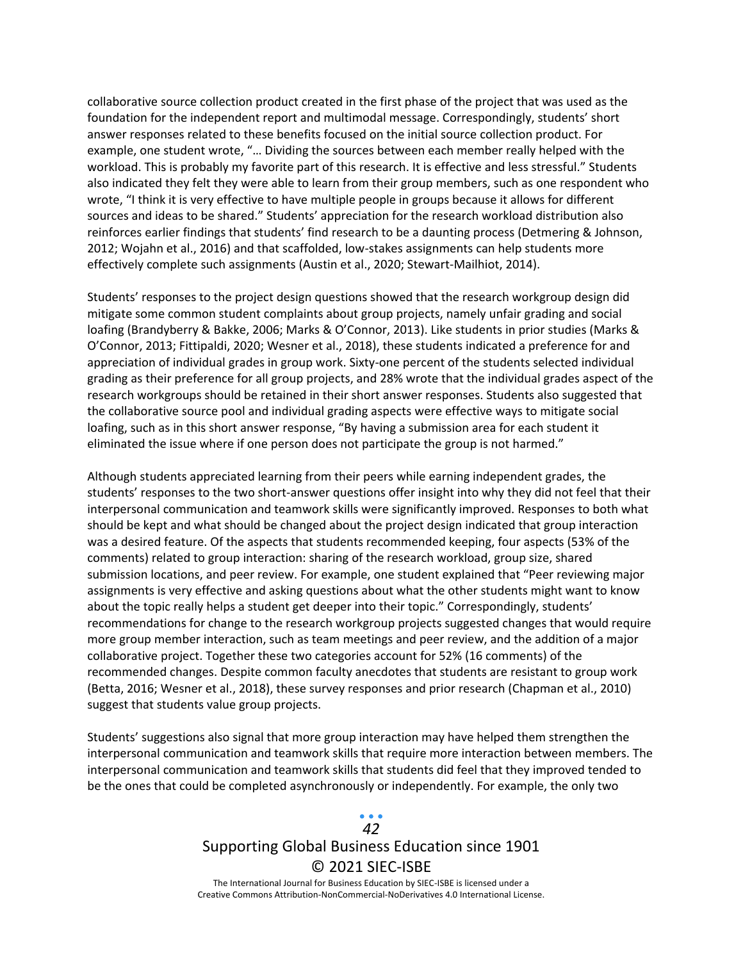collaborative source collection product created in the first phase of the project that was used as the foundation for the independent report and multimodal message. Correspondingly, students' short answer responses related to these benefits focused on the initial source collection product. For example, one student wrote, "… Dividing the sources between each member really helped with the workload. This is probably my favorite part of this research. It is effective and less stressful." Students also indicated they felt they were able to learn from their group members, such as one respondent who wrote, "I think it is very effective to have multiple people in groups because it allows for different sources and ideas to be shared." Students' appreciation for the research workload distribution also reinforces earlier findings that students' find research to be a daunting process (Detmering & Johnson, 2012; Wojahn et al., 2016) and that scaffolded, low-stakes assignments can help students more effectively complete such assignments (Austin et al., 2020; Stewart-Mailhiot, 2014).

Students' responses to the project design questions showed that the research workgroup design did mitigate some common student complaints about group projects, namely unfair grading and social loafing (Brandyberry & Bakke, 2006; Marks & O'Connor, 2013). Like students in prior studies (Marks & O'Connor, 2013; Fittipaldi, 2020; Wesner et al., 2018), these students indicated a preference for and appreciation of individual grades in group work. Sixty-one percent of the students selected individual grading as their preference for all group projects, and 28% wrote that the individual grades aspect of the research workgroups should be retained in their short answer responses. Students also suggested that the collaborative source pool and individual grading aspects were effective ways to mitigate social loafing, such as in this short answer response, "By having a submission area for each student it eliminated the issue where if one person does not participate the group is not harmed."

Although students appreciated learning from their peers while earning independent grades, the students' responses to the two short-answer questions offer insight into why they did not feel that their interpersonal communication and teamwork skills were significantly improved. Responses to both what should be kept and what should be changed about the project design indicated that group interaction was a desired feature. Of the aspects that students recommended keeping, four aspects (53% of the comments) related to group interaction: sharing of the research workload, group size, shared submission locations, and peer review. For example, one student explained that "Peer reviewing major assignments is very effective and asking questions about what the other students might want to know about the topic really helps a student get deeper into their topic." Correspondingly, students' recommendations for change to the research workgroup projects suggested changes that would require more group member interaction, such as team meetings and peer review, and the addition of a major collaborative project. Together these two categories account for 52% (16 comments) of the recommended changes. Despite common faculty anecdotes that students are resistant to group work (Betta, 2016; Wesner et al., 2018), these survey responses and prior research (Chapman et al., 2010) suggest that students value group projects.

Students' suggestions also signal that more group interaction may have helped them strengthen the interpersonal communication and teamwork skills that require more interaction between members. The interpersonal communication and teamwork skills that students did feel that they improved tended to be the ones that could be completed asynchronously or independently. For example, the only two

## Supporting Global Business Education since 1901 © 2021 SIEC-ISBE The International Journal for Business Education by SIEC-ISBE is licensed under a *42*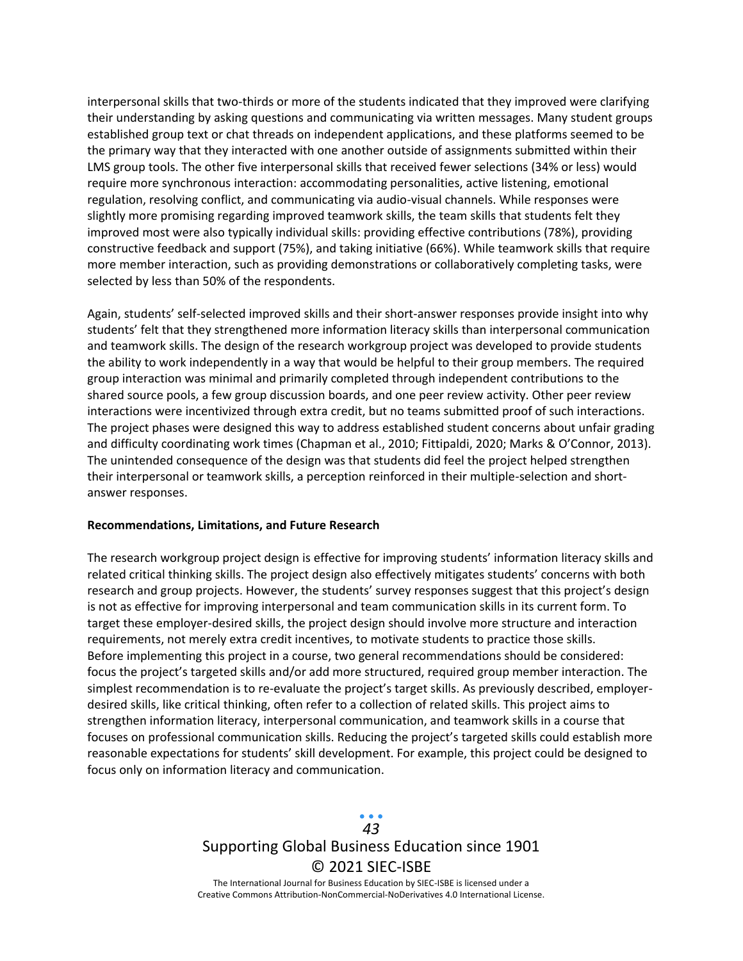interpersonal skills that two-thirds or more of the students indicated that they improved were clarifying their understanding by asking questions and communicating via written messages. Many student groups established group text or chat threads on independent applications, and these platforms seemed to be the primary way that they interacted with one another outside of assignments submitted within their LMS group tools. The other five interpersonal skills that received fewer selections (34% or less) would require more synchronous interaction: accommodating personalities, active listening, emotional regulation, resolving conflict, and communicating via audio-visual channels. While responses were slightly more promising regarding improved teamwork skills, the team skills that students felt they improved most were also typically individual skills: providing effective contributions (78%), providing constructive feedback and support (75%), and taking initiative (66%). While teamwork skills that require more member interaction, such as providing demonstrations or collaboratively completing tasks, were selected by less than 50% of the respondents.

Again, students' self-selected improved skills and their short-answer responses provide insight into why students' felt that they strengthened more information literacy skills than interpersonal communication and teamwork skills. The design of the research workgroup project was developed to provide students the ability to work independently in a way that would be helpful to their group members. The required group interaction was minimal and primarily completed through independent contributions to the shared source pools, a few group discussion boards, and one peer review activity. Other peer review interactions were incentivized through extra credit, but no teams submitted proof of such interactions. The project phases were designed this way to address established student concerns about unfair grading and difficulty coordinating work times (Chapman et al., 2010; Fittipaldi, 2020; Marks & O'Connor, 2013). The unintended consequence of the design was that students did feel the project helped strengthen their interpersonal or teamwork skills, a perception reinforced in their multiple-selection and shortanswer responses.

#### **Recommendations, Limitations, and Future Research**

The research workgroup project design is effective for improving students' information literacy skills and related critical thinking skills. The project design also effectively mitigates students' concerns with both research and group projects. However, the students' survey responses suggest that this project's design is not as effective for improving interpersonal and team communication skills in its current form. To target these employer-desired skills, the project design should involve more structure and interaction requirements, not merely extra credit incentives, to motivate students to practice those skills. Before implementing this project in a course, two general recommendations should be considered: focus the project's targeted skills and/or add more structured, required group member interaction. The simplest recommendation is to re-evaluate the project's target skills. As previously described, employerdesired skills, like critical thinking, often refer to a collection of related skills. This project aims to strengthen information literacy, interpersonal communication, and teamwork skills in a course that focuses on professional communication skills. Reducing the project's targeted skills could establish more reasonable expectations for students' skill development. For example, this project could be designed to focus only on information literacy and communication.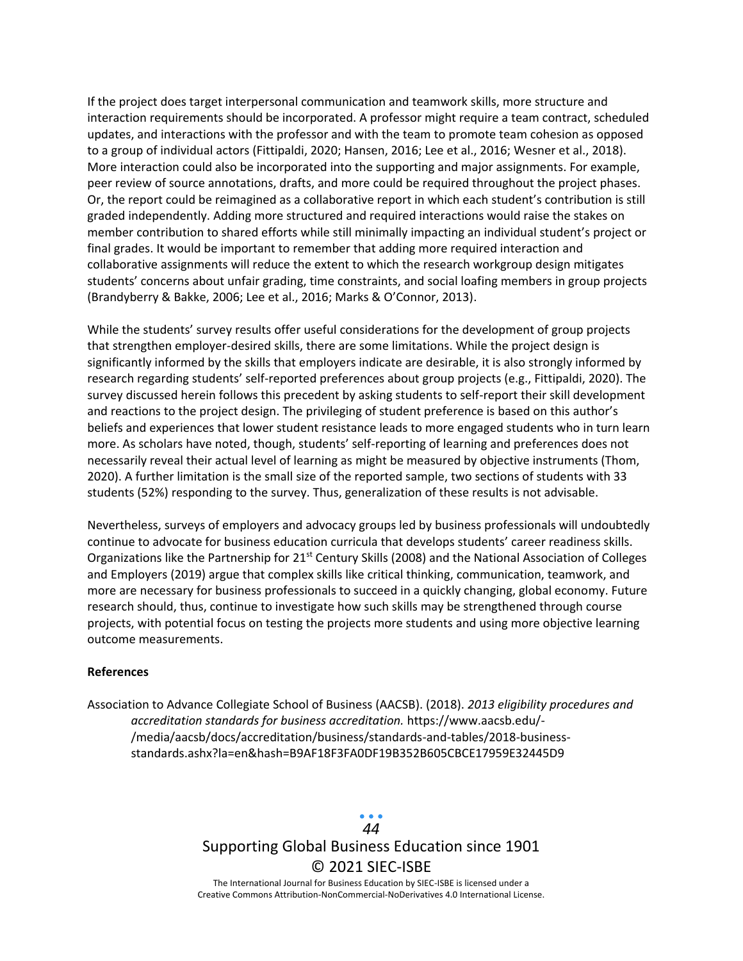If the project does target interpersonal communication and teamwork skills, more structure and interaction requirements should be incorporated. A professor might require a team contract, scheduled updates, and interactions with the professor and with the team to promote team cohesion as opposed to a group of individual actors (Fittipaldi, 2020; Hansen, 2016; Lee et al., 2016; Wesner et al., 2018). More interaction could also be incorporated into the supporting and major assignments. For example, peer review of source annotations, drafts, and more could be required throughout the project phases. Or, the report could be reimagined as a collaborative report in which each student's contribution is still graded independently. Adding more structured and required interactions would raise the stakes on member contribution to shared efforts while still minimally impacting an individual student's project or final grades. It would be important to remember that adding more required interaction and collaborative assignments will reduce the extent to which the research workgroup design mitigates students' concerns about unfair grading, time constraints, and social loafing members in group projects (Brandyberry & Bakke, 2006; Lee et al., 2016; Marks & O'Connor, 2013).

While the students' survey results offer useful considerations for the development of group projects that strengthen employer-desired skills, there are some limitations. While the project design is significantly informed by the skills that employers indicate are desirable, it is also strongly informed by research regarding students' self-reported preferences about group projects (e.g., Fittipaldi, 2020). The survey discussed herein follows this precedent by asking students to self-report their skill development and reactions to the project design. The privileging of student preference is based on this author's beliefs and experiences that lower student resistance leads to more engaged students who in turn learn more. As scholars have noted, though, students' self-reporting of learning and preferences does not necessarily reveal their actual level of learning as might be measured by objective instruments (Thom, 2020). A further limitation is the small size of the reported sample, two sections of students with 33 students (52%) responding to the survey. Thus, generalization of these results is not advisable.

Nevertheless, surveys of employers and advocacy groups led by business professionals will undoubtedly continue to advocate for business education curricula that develops students' career readiness skills. Organizations like the Partnership for 21<sup>st</sup> Century Skills (2008) and the National Association of Colleges and Employers (2019) argue that complex skills like critical thinking, communication, teamwork, and more are necessary for business professionals to succeed in a quickly changing, global economy. Future research should, thus, continue to investigate how such skills may be strengthened through course projects, with potential focus on testing the projects more students and using more objective learning outcome measurements.

#### **References**

Association to Advance Collegiate School of Business (AACSB). (2018). *2013 eligibility procedures and accreditation standards for business accreditation.* https://www.aacsb.edu/- /media/aacsb/docs/accreditation/business/standards-and-tables/2018-businessstandards.ashx?la=en&hash=B9AF18F3FA0DF19B352B605CBCE17959E32445D9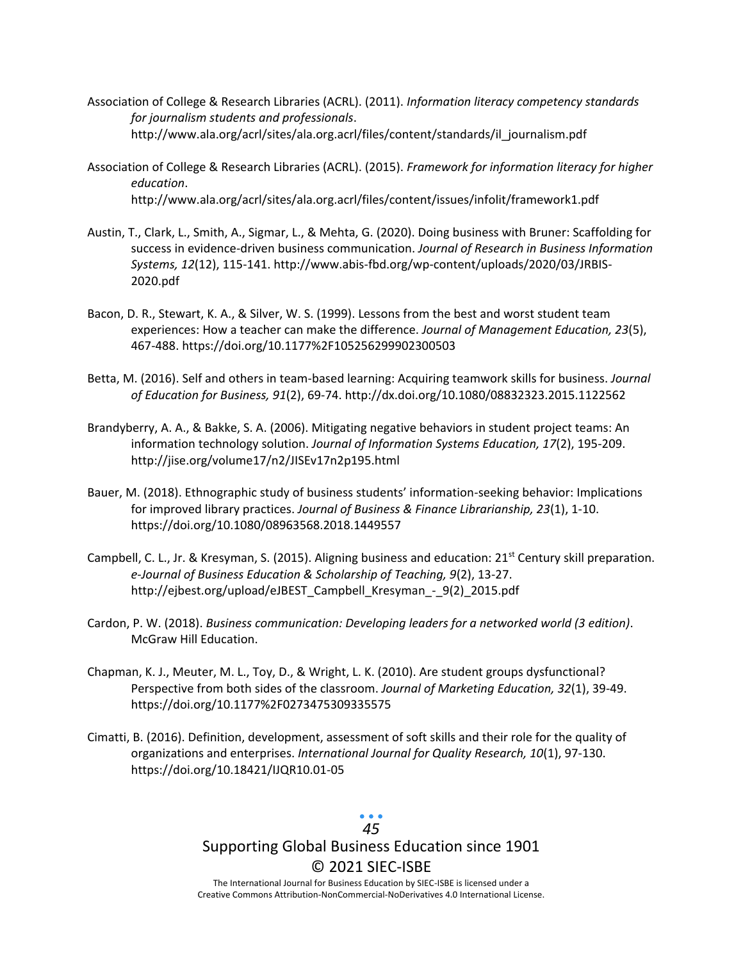- Association of College & Research Libraries (ACRL). (2011). *Information literacy competency standards for journalism students and professionals*. http://www.ala.org/acrl/sites/ala.org.acrl/files/content/standards/il\_journalism.pdf
- Association of College & Research Libraries (ACRL). (2015). *Framework for information literacy for higher education*. http://www.ala.org/acrl/sites/ala.org.acrl/files/content/issues/infolit/framework1.pdf
- Austin, T., Clark, L., Smith, A., Sigmar, L., & Mehta, G. (2020). Doing business with Bruner: Scaffolding for success in evidence-driven business communication. *Journal of Research in Business Information Systems, 12*(12), 115-141. http://www.abis-fbd.org/wp-content/uploads/2020/03/JRBIS-2020.pdf
- Bacon, D. R., Stewart, K. A., & Silver, W. S. (1999). Lessons from the best and worst student team experiences: How a teacher can make the difference. *Journal of Management Education, 23*(5), 467-488. https://doi.org/10.1177%2F105256299902300503
- Betta, M. (2016). Self and others in team-based learning: Acquiring teamwork skills for business. *Journal of Education for Business, 91*(2), 69-74. http://dx.doi.org/10.1080/08832323.2015.1122562
- Brandyberry, A. A., & Bakke, S. A. (2006). Mitigating negative behaviors in student project teams: An information technology solution. *Journal of Information Systems Education, 17*(2), 195-209. http://jise.org/volume17/n2/JISEv17n2p195.html
- Bauer, M. (2018). Ethnographic study of business students' information-seeking behavior: Implications for improved library practices. *Journal of Business & Finance Librarianship, 23*(1), 1-10. https://doi.org/10.1080/08963568.2018.1449557
- Campbell, C. L., Jr. & Kresyman, S. (2015). Aligning business and education: 21<sup>st</sup> Century skill preparation. *e-Journal of Business Education & Scholarship of Teaching, 9*(2), 13-27. http://ejbest.org/upload/eJBEST\_Campbell\_Kresyman\_-\_9(2)\_2015.pdf
- Cardon, P. W. (2018). *Business communication: Developing leaders for a networked world (3 edition)*. McGraw Hill Education.
- Chapman, K. J., Meuter, M. L., Toy, D., & Wright, L. K. (2010). Are student groups dysfunctional? Perspective from both sides of the classroom. *Journal of Marketing Education, 32*(1), 39-49. https://doi.org/10.1177%2F0273475309335575
- Cimatti, B. (2016). Definition, development, assessment of soft skills and their role for the quality of organizations and enterprises. *International Journal for Quality Research, 10*(1), 97-130. https://doi.org/10.18421/IJQR10.01-05

## *45*

# Supporting Global Business Education since 1901 © 2021 SIEC-ISBE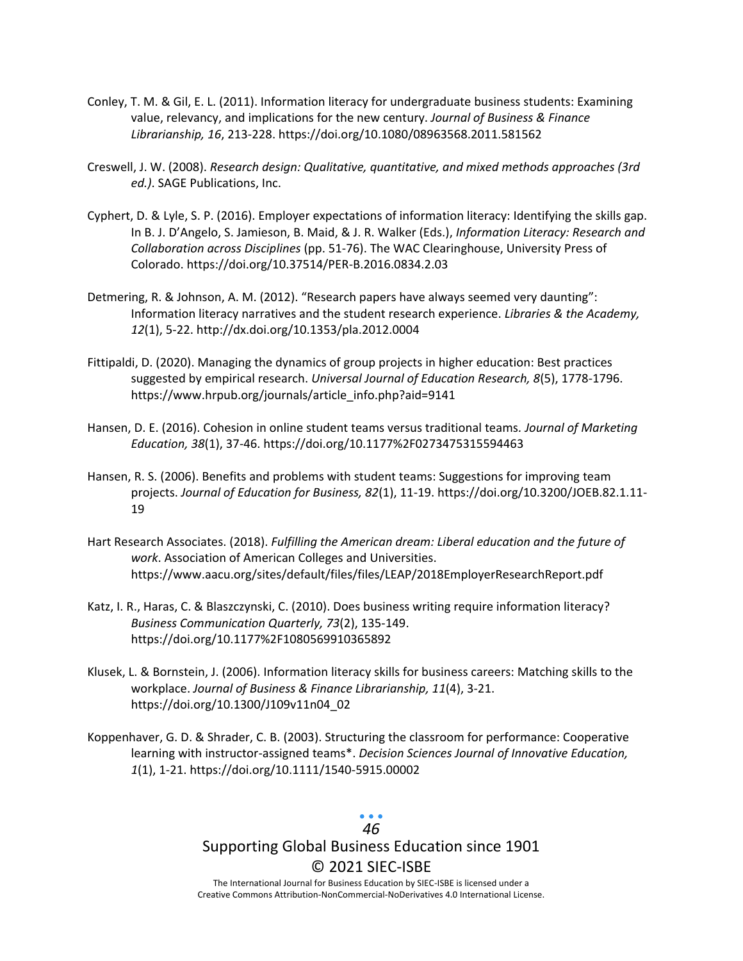- Conley, T. M. & Gil, E. L. (2011). Information literacy for undergraduate business students: Examining value, relevancy, and implications for the new century. *Journal of Business & Finance Librarianship, 16*, 213-228. https://doi.org/10.1080/08963568.2011.581562
- Creswell, J. W. (2008). *Research design: Qualitative, quantitative, and mixed methods approaches (3rd ed.)*. SAGE Publications, Inc.
- Cyphert, D. & Lyle, S. P. (2016). Employer expectations of information literacy: Identifying the skills gap. In B. J. D'Angelo, S. Jamieson, B. Maid, & J. R. Walker (Eds.), *Information Literacy: Research and Collaboration across Disciplines* (pp. 51-76). The WAC Clearinghouse, University Press of Colorado. https://doi.org/10.37514/PER-B.2016.0834.2.03
- Detmering, R. & Johnson, A. M. (2012). "Research papers have always seemed very daunting": Information literacy narratives and the student research experience. *Libraries & the Academy, 12*(1), 5-22. http://dx.doi.org/10.1353/pla.2012.0004
- Fittipaldi, D. (2020). Managing the dynamics of group projects in higher education: Best practices suggested by empirical research. *Universal Journal of Education Research, 8*(5), 1778-1796. https://www.hrpub.org/journals/article\_info.php?aid=9141
- Hansen, D. E. (2016). Cohesion in online student teams versus traditional teams*. Journal of Marketing Education, 38*(1), 37-46. https://doi.org/10.1177%2F0273475315594463
- Hansen, R. S. (2006). Benefits and problems with student teams: Suggestions for improving team projects. *Journal of Education for Business, 82*(1), 11-19. https://doi.org/10.3200/JOEB.82.1.11- 19
- Hart Research Associates. (2018). *Fulfilling the American dream: Liberal education and the future of work*. Association of American Colleges and Universities. https://www.aacu.org/sites/default/files/files/LEAP/2018EmployerResearchReport.pdf
- Katz, I. R., Haras, C. & Blaszczynski, C. (2010). Does business writing require information literacy? *Business Communication Quarterly, 73*(2), 135-149. https://doi.org/10.1177%2F1080569910365892
- Klusek, L. & Bornstein, J. (2006). Information literacy skills for business careers: Matching skills to the workplace. *Journal of Business & Finance Librarianship, 11*(4), 3-21. https://doi.org/10.1300/J109v11n04\_02
- Koppenhaver, G. D. & Shrader, C. B. (2003). Structuring the classroom for performance: Cooperative learning with instructor-assigned teams\*. *Decision Sciences Journal of Innovative Education, 1*(1), 1-21. https://doi.org/10.1111/1540-5915.00002

## *46*

# Supporting Global Business Education since 1901 © 2021 SIEC-ISBE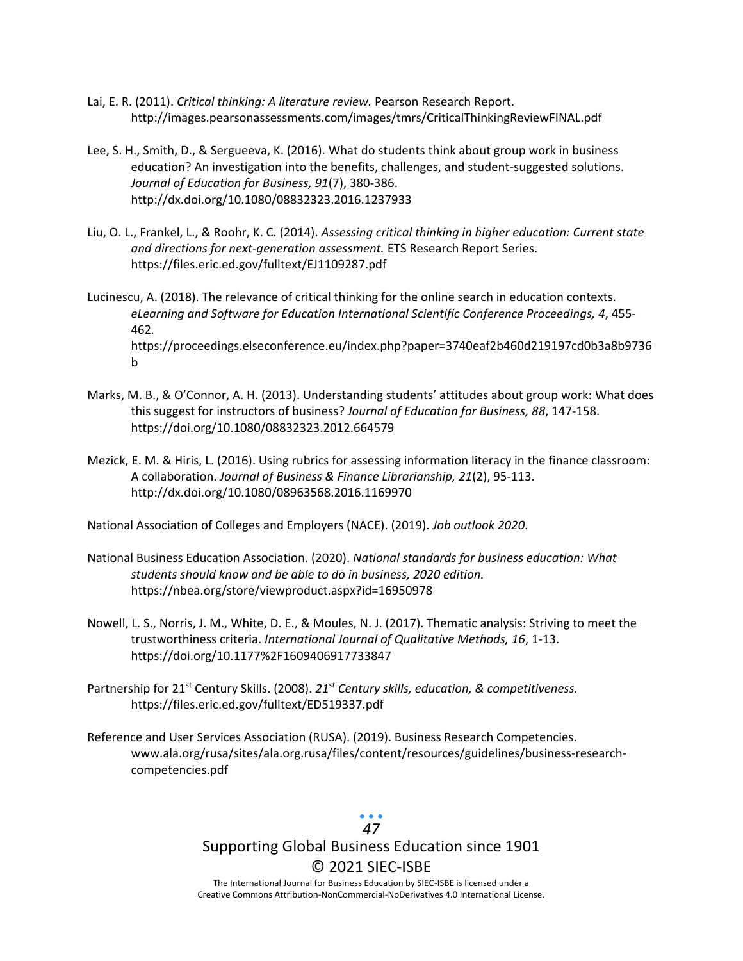- Lai, E. R. (2011). *Critical thinking: A literature review.* Pearson Research Report. http://images.pearsonassessments.com/images/tmrs/CriticalThinkingReviewFINAL.pdf
- Lee, S. H., Smith, D., & Sergueeva, K. (2016). What do students think about group work in business education? An investigation into the benefits, challenges, and student-suggested solutions. *Journal of Education for Business, 91*(7), 380-386. http://dx.doi.org/10.1080/08832323.2016.1237933
- Liu, O. L., Frankel, L., & Roohr, K. C. (2014). *Assessing critical thinking in higher education: Current state and directions for next-generation assessment.* ETS Research Report Series. https://files.eric.ed.gov/fulltext/EJ1109287.pdf
- Lucinescu, A. (2018). The relevance of critical thinking for the online search in education contexts. *eLearning and Software for Education International Scientific Conference Proceedings, 4*, 455- 462*.*  https://proceedings.elseconference.eu/index.php?paper=3740eaf2b460d219197cd0b3a8b9736 b
- Marks, M. B., & O'Connor, A. H. (2013). Understanding students' attitudes about group work: What does this suggest for instructors of business? *Journal of Education for Business, 88*, 147-158. https://doi.org/10.1080/08832323.2012.664579
- Mezick, E. M. & Hiris, L. (2016). Using rubrics for assessing information literacy in the finance classroom: A collaboration. *Journal of Business & Finance Librarianship, 21*(2), 95-113. http://dx.doi.org/10.1080/08963568.2016.1169970

National Association of Colleges and Employers (NACE). (2019). *Job outlook 2020*.

- National Business Education Association. (2020). *National standards for business education: What students should know and be able to do in business, 2020 edition.*  https://nbea.org/store/viewproduct.aspx?id=16950978
- Nowell, L. S., Norris, J. M., White, D. E., & Moules, N. J. (2017). Thematic analysis: Striving to meet the trustworthiness criteria. *International Journal of Qualitative Methods, 16*, 1-13. https://doi.org/10.1177%2F1609406917733847
- Partnership for 21<sup>st</sup> Century Skills. (2008). 21<sup>st</sup> Century skills, education, & competitiveness. https://files.eric.ed.gov/fulltext/ED519337.pdf
- Reference and User Services Association (RUSA). (2019). Business Research Competencies. www.ala.org/rusa/sites/ala.org.rusa/files/content/resources/guidelines/business-researchcompetencies.pdf

## *47*

# Supporting Global Business Education since 1901 © 2021 SIEC-ISBE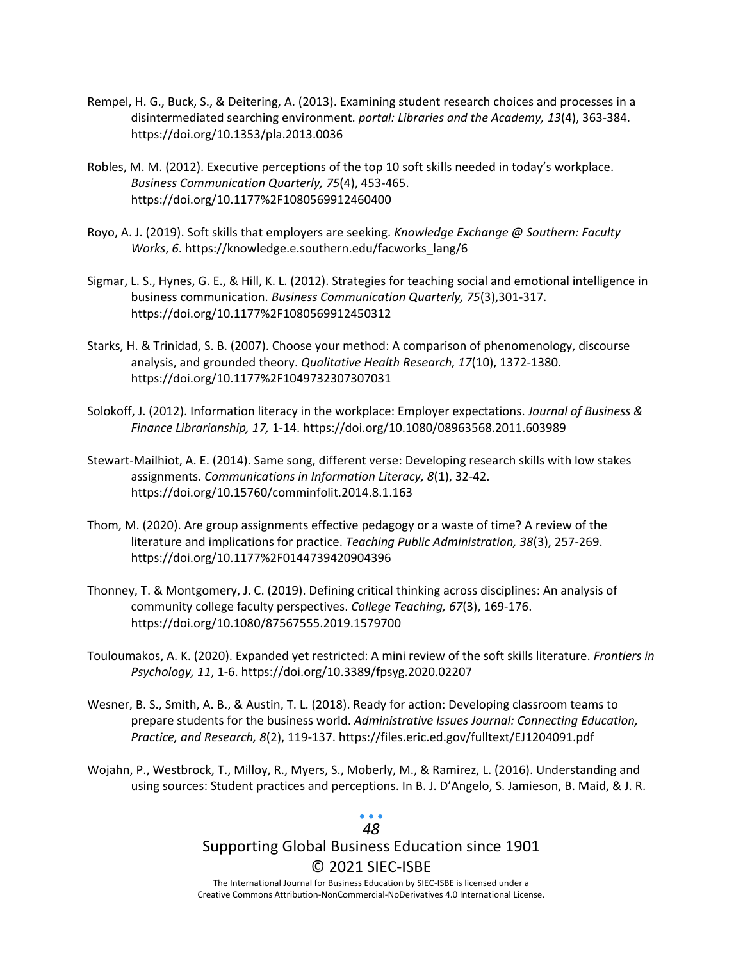- Rempel, H. G., Buck, S., & Deitering, A. (2013). Examining student research choices and processes in a disintermediated searching environment. *portal: Libraries and the Academy, 13*(4), 363-384. https://doi.org/10.1353/pla.2013.0036
- Robles, M. M. (2012). Executive perceptions of the top 10 soft skills needed in today's workplace. *Business Communication Quarterly, 75*(4), 453-465. https://doi.org/10.1177%2F1080569912460400
- Royo, A. J. (2019). Soft skills that employers are seeking. *Knowledge Exchange @ Southern: Faculty Works*, *6*. https://knowledge.e.southern.edu/facworks\_lang/6
- Sigmar, L. S., Hynes, G. E., & Hill, K. L. (2012). Strategies for teaching social and emotional intelligence in business communication. *Business Communication Quarterly, 75*(3),301-317. https://doi.org/10.1177%2F1080569912450312
- Starks, H. & Trinidad, S. B. (2007). Choose your method: A comparison of phenomenology, discourse analysis, and grounded theory. *Qualitative Health Research, 17*(10), 1372-1380. https://doi.org/10.1177%2F1049732307307031
- Solokoff, J. (2012). Information literacy in the workplace: Employer expectations. *Journal of Business & Finance Librarianship, 17,* 1-14. https://doi.org/10.1080/08963568.2011.603989
- Stewart-Mailhiot, A. E. (2014). Same song, different verse: Developing research skills with low stakes assignments. *Communications in Information Literacy, 8*(1), 32-42. https://doi.org/10.15760/comminfolit.2014.8.1.163
- Thom, M. (2020). Are group assignments effective pedagogy or a waste of time? A review of the literature and implications for practice. *Teaching Public Administration, 38*(3), 257-269. https://doi.org/10.1177%2F0144739420904396
- Thonney, T. & Montgomery, J. C. (2019). Defining critical thinking across disciplines: An analysis of community college faculty perspectives. *College Teaching, 67*(3), 169-176. https://doi.org/10.1080/87567555.2019.1579700
- Touloumakos, A. K. (2020). Expanded yet restricted: A mini review of the soft skills literature. *Frontiers in Psychology, 11*, 1-6. https://doi.org/10.3389/fpsyg.2020.02207
- Wesner, B. S., Smith, A. B., & Austin, T. L. (2018). Ready for action: Developing classroom teams to prepare students for the business world. *Administrative Issues Journal: Connecting Education, Practice, and Research, 8*(2), 119-137. https://files.eric.ed.gov/fulltext/EJ1204091.pdf
- Wojahn, P., Westbrock, T., Milloy, R., Myers, S., Moberly, M., & Ramirez, L. (2016). Understanding and using sources: Student practices and perceptions. In B. J. D'Angelo, S. Jamieson, B. Maid, & J. R.

## *48*

## Supporting Global Business Education since 1901 © 2021 SIEC-ISBE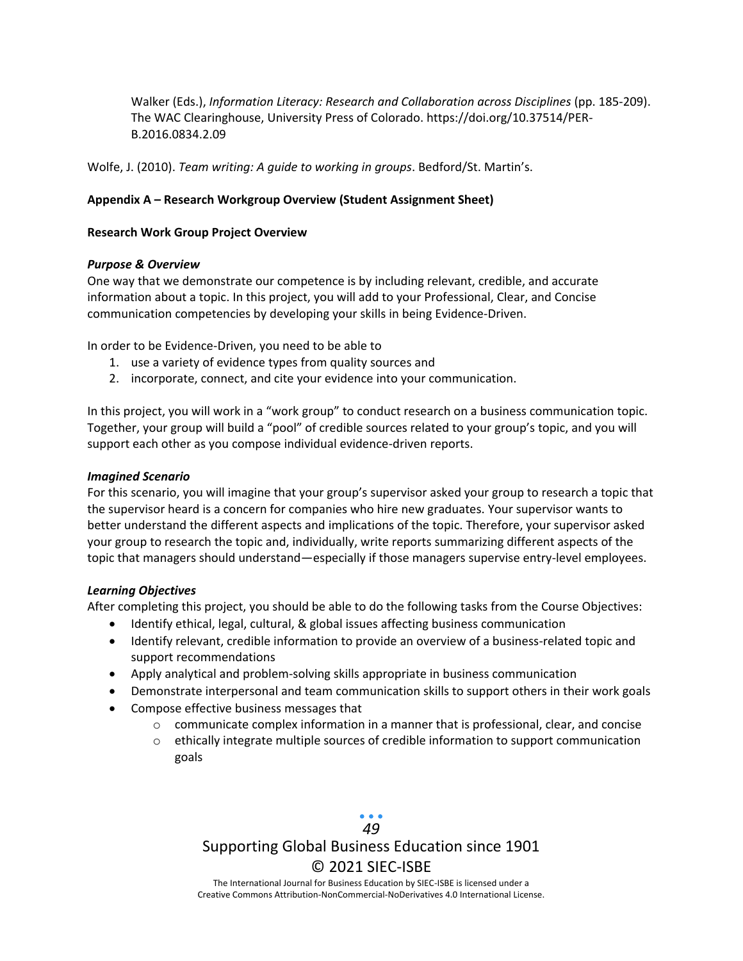Walker (Eds.), *Information Literacy: Research and Collaboration across Disciplines* (pp. 185-209). The WAC Clearinghouse, University Press of Colorado. https://doi.org/10.37514/PER-B.2016.0834.2.09

Wolfe, J. (2010). *Team writing: A guide to working in groups*. Bedford/St. Martin's.

#### **Appendix A – Research Workgroup Overview (Student Assignment Sheet)**

#### **Research Work Group Project Overview**

#### *Purpose & Overview*

One way that we demonstrate our competence is by including relevant, credible, and accurate information about a topic. In this project, you will add to your Professional, Clear, and Concise communication competencies by developing your skills in being Evidence-Driven.

In order to be Evidence-Driven, you need to be able to

- 1. use a variety of evidence types from quality sources and
- 2. incorporate, connect, and cite your evidence into your communication.

In this project, you will work in a "work group" to conduct research on a business communication topic. Together, your group will build a "pool" of credible sources related to your group's topic, and you will support each other as you compose individual evidence-driven reports.

#### *Imagined Scenario*

For this scenario, you will imagine that your group's supervisor asked your group to research a topic that the supervisor heard is a concern for companies who hire new graduates. Your supervisor wants to better understand the different aspects and implications of the topic. Therefore, your supervisor asked your group to research the topic and, individually, write reports summarizing different aspects of the topic that managers should understand—especially if those managers supervise entry-level employees.

#### *Learning Objectives*

After completing this project, you should be able to do the following tasks from the Course Objectives:

- Identify ethical, legal, cultural, & global issues affecting business communication
- Identify relevant, credible information to provide an overview of a business-related topic and support recommendations
- Apply analytical and problem-solving skills appropriate in business communication
- Demonstrate interpersonal and team communication skills to support others in their work goals
- Compose effective business messages that
	- o communicate complex information in a manner that is professional, clear, and concise
	- o ethically integrate multiple sources of credible information to support communication goals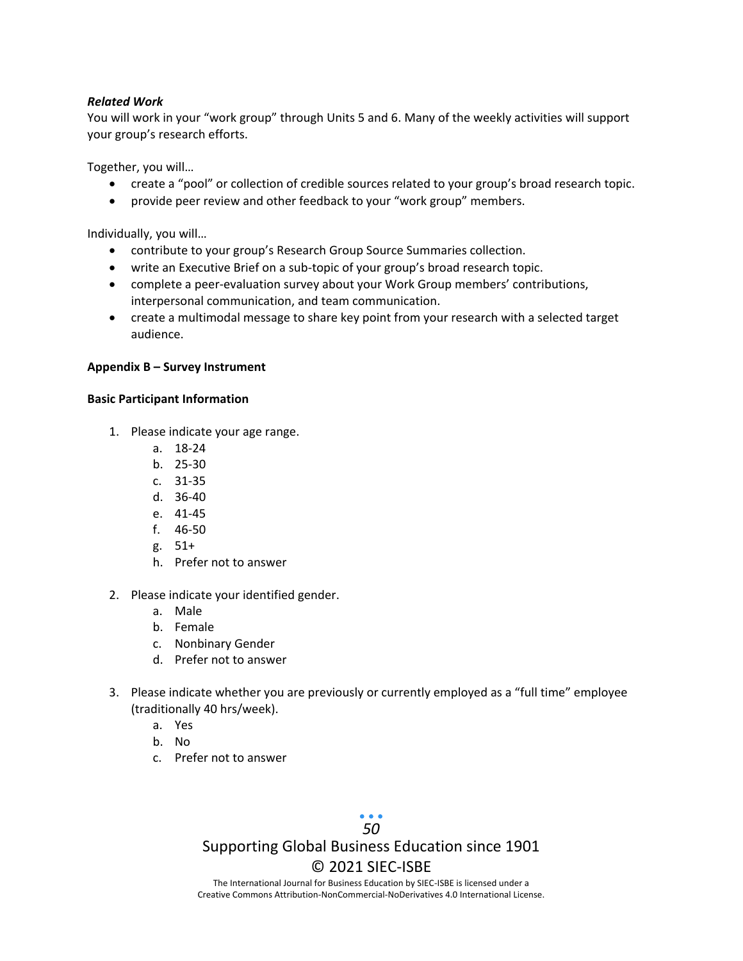#### *Related Work*

You will work in your "work group" through Units 5 and 6. Many of the weekly activities will support your group's research efforts.

Together, you will…

- create a "pool" or collection of credible sources related to your group's broad research topic.
- provide peer review and other feedback to your "work group" members.

Individually, you will…

- contribute to your group's Research Group Source Summaries collection.
- write an Executive Brief on a sub-topic of your group's broad research topic.
- complete a peer-evaluation survey about your Work Group members' contributions, interpersonal communication, and team communication.
- create a multimodal message to share key point from your research with a selected target audience.

#### **Appendix B – Survey Instrument**

#### **Basic Participant Information**

- 1. Please indicate your age range.
	- a. 18-24
	- b. 25-30
	- c. 31-35
	- d. 36-40
	- e. 41-45
	- f. 46-50
	- g. 51+
	- h. Prefer not to answer
- 2. Please indicate your identified gender.
	- a. Male
	- b. Female
	- c. Nonbinary Gender
	- d. Prefer not to answer
- 3. Please indicate whether you are previously or currently employed as a "full time" employee (traditionally 40 hrs/week).
	- a. Yes
	- b. No
	- c. Prefer not to answer

# *50*

# Supporting Global Business Education since 1901 © 2021 SIEC-ISBE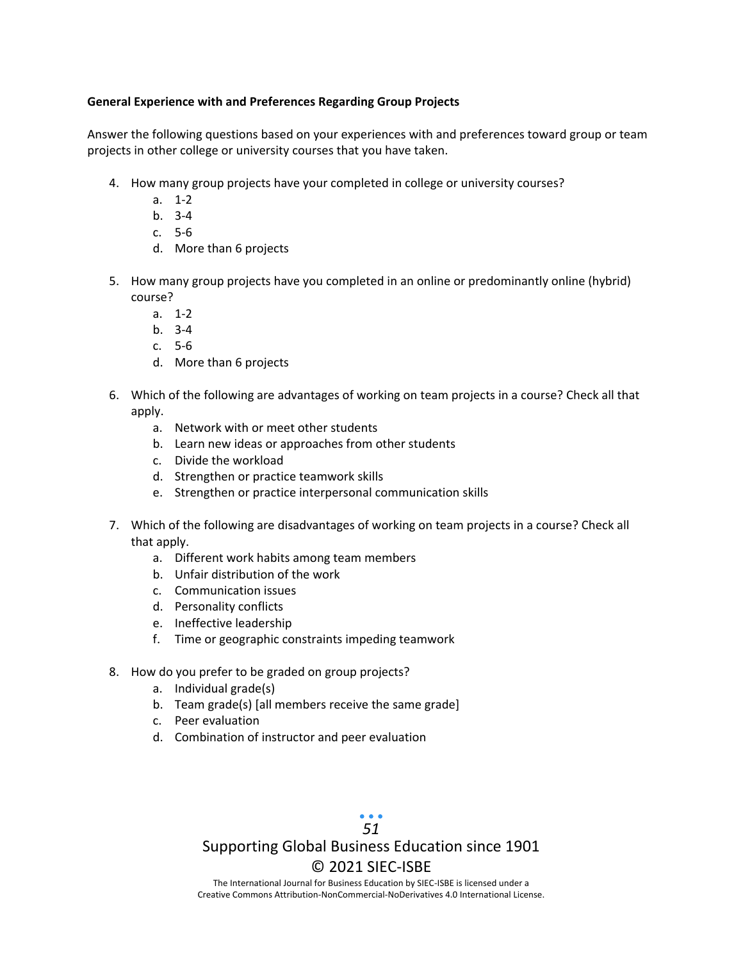#### **General Experience with and Preferences Regarding Group Projects**

Answer the following questions based on your experiences with and preferences toward group or team projects in other college or university courses that you have taken.

- 4. How many group projects have your completed in college or university courses?
	- a. 1-2
	- b. 3-4
	- c. 5-6
	- d. More than 6 projects
- 5. How many group projects have you completed in an online or predominantly online (hybrid) course?
	- a. 1-2
	- b. 3-4
	- c. 5-6
	- d. More than 6 projects
- 6. Which of the following are advantages of working on team projects in a course? Check all that apply.
	- a. Network with or meet other students
	- b. Learn new ideas or approaches from other students
	- c. Divide the workload
	- d. Strengthen or practice teamwork skills
	- e. Strengthen or practice interpersonal communication skills
- 7. Which of the following are disadvantages of working on team projects in a course? Check all that apply.
	- a. Different work habits among team members
	- b. Unfair distribution of the work
	- c. Communication issues
	- d. Personality conflicts
	- e. Ineffective leadership
	- f. Time or geographic constraints impeding teamwork
- 8. How do you prefer to be graded on group projects?
	- a. Individual grade(s)
	- b. Team grade(s) [all members receive the same grade]
	- c. Peer evaluation
	- d. Combination of instructor and peer evaluation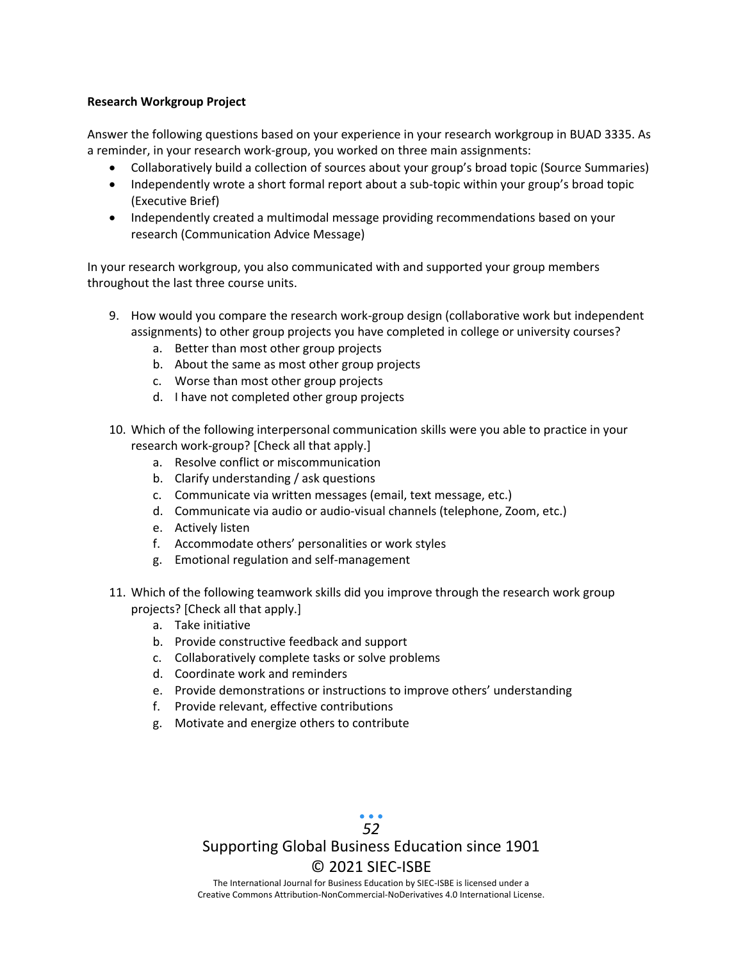#### **Research Workgroup Project**

Answer the following questions based on your experience in your research workgroup in BUAD 3335. As a reminder, in your research work-group, you worked on three main assignments:

- Collaboratively build a collection of sources about your group's broad topic (Source Summaries)
- Independently wrote a short formal report about a sub-topic within your group's broad topic (Executive Brief)
- Independently created a multimodal message providing recommendations based on your research (Communication Advice Message)

In your research workgroup, you also communicated with and supported your group members throughout the last three course units.

- 9. How would you compare the research work-group design (collaborative work but independent assignments) to other group projects you have completed in college or university courses?
	- a. Better than most other group projects
	- b. About the same as most other group projects
	- c. Worse than most other group projects
	- d. I have not completed other group projects
- 10. Which of the following interpersonal communication skills were you able to practice in your research work-group? [Check all that apply.]
	- a. Resolve conflict or miscommunication
	- b. Clarify understanding / ask questions
	- c. Communicate via written messages (email, text message, etc.)
	- d. Communicate via audio or audio-visual channels (telephone, Zoom, etc.)
	- e. Actively listen
	- f. Accommodate others' personalities or work styles
	- g. Emotional regulation and self-management
- 11. Which of the following teamwork skills did you improve through the research work group projects? [Check all that apply.]
	- a. Take initiative
	- b. Provide constructive feedback and support
	- c. Collaboratively complete tasks or solve problems
	- d. Coordinate work and reminders
	- e. Provide demonstrations or instructions to improve others' understanding
	- f. Provide relevant, effective contributions
	- g. Motivate and energize others to contribute